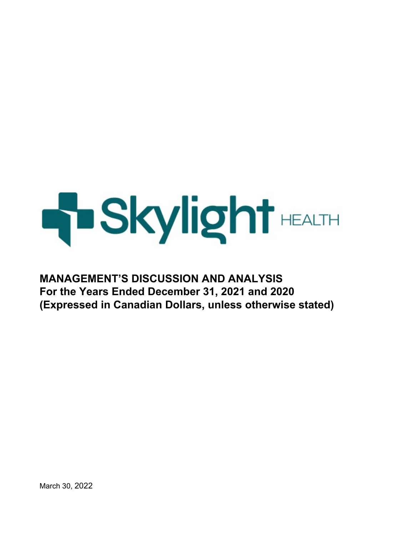# **H**Skylight HEALTH

# **MANAGEMENT'S DISCUSSION AND ANALYSIS For the Years Ended December 31, 2021 and 2020 (Expressed in Canadian Dollars, unless otherwise stated)**

March 30, 2022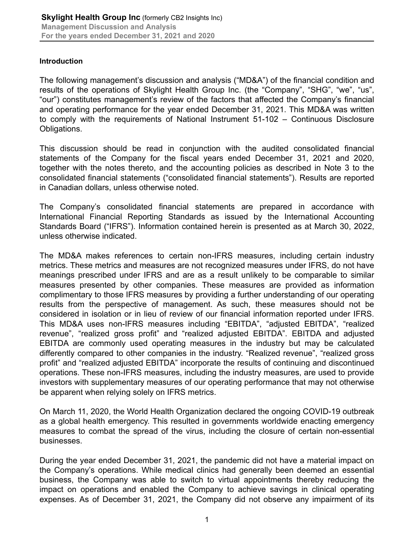#### **Introduction**

The following management's discussion and analysis ("MD&A") of the financial condition and results of the operations of Skylight Health Group Inc. (the "Company", "SHG", "we", "us", "our") constitutes management's review of the factors that affected the Company's financial and operating performance for the year ended December 31, 2021. This MD&A was written to comply with the requirements of National Instrument 51-102 – Continuous Disclosure Obligations.

This discussion should be read in conjunction with the audited consolidated financial statements of the Company for the fiscal years ended December 31, 2021 and 2020, together with the notes thereto, and the accounting policies as described in Note 3 to the consolidated financial statements ("consolidated financial statements"). Results are reported in Canadian dollars, unless otherwise noted.

The Company's consolidated financial statements are prepared in accordance with International Financial Reporting Standards as issued by the International Accounting Standards Board ("IFRS"). Information contained herein is presented as at March 30, 2022, unless otherwise indicated.

The MD&A makes references to certain non-IFRS measures, including certain industry metrics. These metrics and measures are not recognized measures under IFRS, do not have meanings prescribed under IFRS and are as a result unlikely to be comparable to similar measures presented by other companies. These measures are provided as information complimentary to those IFRS measures by providing a further understanding of our operating results from the perspective of management. As such, these measures should not be considered in isolation or in lieu of review of our financial information reported under IFRS. This MD&A uses non-IFRS measures including "EBITDA", "adjusted EBITDA", "realized revenue", "realized gross profit" and "realized adjusted EBITDA". EBITDA and adjusted EBITDA are commonly used operating measures in the industry but may be calculated differently compared to other companies in the industry. "Realized revenue", "realized gross profit" and "realized adjusted EBITDA" incorporate the results of continuing and discontinued operations. These non-IFRS measures, including the industry measures, are used to provide investors with supplementary measures of our operating performance that may not otherwise be apparent when relying solely on IFRS metrics.

On March 11, 2020, the World Health Organization declared the ongoing COVID-19 outbreak as a global health emergency. This resulted in governments worldwide enacting emergency measures to combat the spread of the virus, including the closure of certain non-essential businesses.

During the year ended December 31, 2021, the pandemic did not have a material impact on the Company's operations. While medical clinics had generally been deemed an essential business, the Company was able to switch to virtual appointments thereby reducing the impact on operations and enabled the Company to achieve savings in clinical operating expenses. As of December 31, 2021, the Company did not observe any impairment of its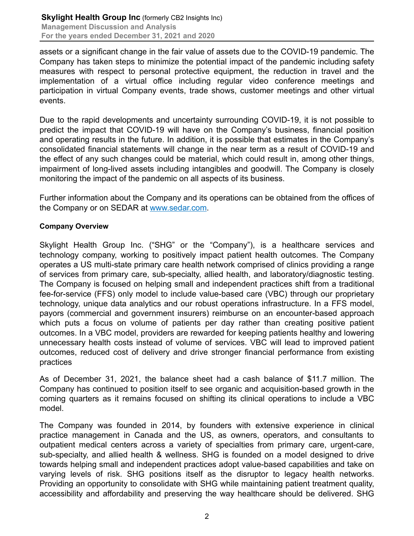assets or a significant change in the fair value of assets due to the COVID-19 pandemic. The Company has taken steps to minimize the potential impact of the pandemic including safety measures with respect to personal protective equipment, the reduction in travel and the implementation of a virtual office including regular video conference meetings and participation in virtual Company events, trade shows, customer meetings and other virtual events.

Due to the rapid developments and uncertainty surrounding COVID-19, it is not possible to predict the impact that COVID-19 will have on the Company's business, financial position and operating results in the future. In addition, it is possible that estimates in the Company's consolidated financial statements will change in the near term as a result of COVID-19 and the effect of any such changes could be material, which could result in, among other things, impairment of long-lived assets including intangibles and goodwill. The Company is closely monitoring the impact of the pandemic on all aspects of its business.

Further information about the Company and its operations can be obtained from the offices of the Company or on SEDAR at www.sedar.com.

#### **Company Overview**

Skylight Health Group Inc. ("SHG" or the "Company"), is a healthcare services and technology company, working to positively impact patient health outcomes. The Company operates a US multi-state primary care health network comprised of clinics providing a range of services from primary care, sub-specialty, allied health, and laboratory/diagnostic testing. The Company is focused on helping small and independent practices shift from a traditional fee-for-service (FFS) only model to include value-based care (VBC) through our proprietary technology, unique data analytics and our robust operations infrastructure. In a FFS model, payors (commercial and government insurers) reimburse on an encounter-based approach which puts a focus on volume of patients per day rather than creating positive patient outcomes. In a VBC model, providers are rewarded for keeping patients healthy and lowering unnecessary health costs instead of volume of services. VBC will lead to improved patient outcomes, reduced cost of delivery and drive stronger financial performance from existing practices

As of December 31, 2021, the balance sheet had a cash balance of \$11.7 million. The Company has continued to position itself to see organic and acquisition-based growth in the coming quarters as it remains focused on shifting its clinical operations to include a VBC model.

The Company was founded in 2014, by founders with extensive experience in clinical practice management in Canada and the US, as owners, operators, and consultants to outpatient medical centers across a variety of specialties from primary care, urgent-care, sub-specialty, and allied health & wellness. SHG is founded on a model designed to drive towards helping small and independent practices adopt value-based capabilities and take on varying levels of risk. SHG positions itself as the disruptor to legacy health networks. Providing an opportunity to consolidate with SHG while maintaining patient treatment quality, accessibility and affordability and preserving the way healthcare should be delivered. SHG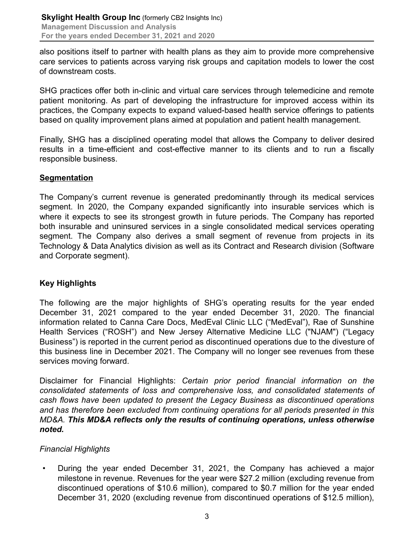also positions itself to partner with health plans as they aim to provide more comprehensive care services to patients across varying risk groups and capitation models to lower the cost of downstream costs.

SHG practices offer both in-clinic and virtual care services through telemedicine and remote patient monitoring. As part of developing the infrastructure for improved access within its practices, the Company expects to expand valued-based health service offerings to patients based on quality improvement plans aimed at population and patient health management.

Finally, SHG has a disciplined operating model that allows the Company to deliver desired results in a time-efficient and cost-effective manner to its clients and to run a fiscally responsible business.

# **Segmentation**

The Company's current revenue is generated predominantly through its medical services segment. In 2020, the Company expanded significantly into insurable services which is where it expects to see its strongest growth in future periods. The Company has reported both insurable and uninsured services in a single consolidated medical services operating segment. The Company also derives a small segment of revenue from projects in its Technology & Data Analytics division as well as its Contract and Research division (Software and Corporate segment).

# **Key Highlights**

The following are the major highlights of SHG's operating results for the year ended December 31, 2021 compared to the year ended December 31, 2020. The financial information related to Canna Care Docs, MedEval Clinic LLC ("MedEval"), Rae of Sunshine Health Services ("ROSH") and New Jersey Alternative Medicine LLC ("NJAM") ("Legacy Business") is reported in the current period as discontinued operations due to the divesture of this business line in December 2021. The Company will no longer see revenues from these services moving forward.

Disclaimer for Financial Highlights: *Certain prior period financial information on the consolidated statements of loss and comprehensive loss, and consolidated statements of cash flows have been updated to present the Legacy Business as discontinued operations and has therefore been excluded from continuing operations for all periods presented in this MD&A. This MD&A reflects only the results of continuing operations, unless otherwise noted.*

# *Financial Highlights*

• During the year ended December 31, 2021, the Company has achieved a major milestone in revenue. Revenues for the year were \$27.2 million (excluding revenue from discontinued operations of \$10.6 million), compared to \$0.7 million for the year ended December 31, 2020 (excluding revenue from discontinued operations of \$12.5 million),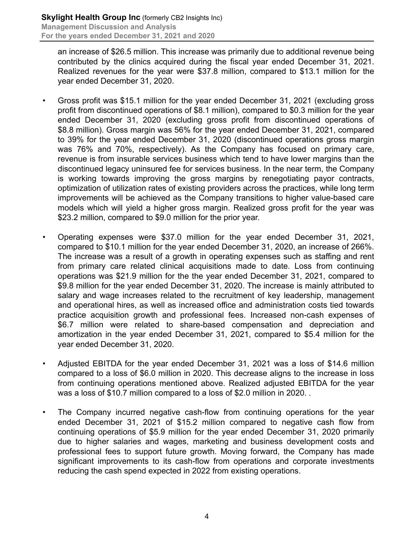an increase of \$26.5 million. This increase was primarily due to additional revenue being contributed by the clinics acquired during the fiscal year ended December 31, 2021. Realized revenues for the year were \$37.8 million, compared to \$13.1 million for the year ended December 31, 2020.

- Gross profit was \$15.1 million for the year ended December 31, 2021 (excluding gross profit from discontinued operations of \$8.1 million), compared to \$0.3 million for the year ended December 31, 2020 (excluding gross profit from discontinued operations of \$8.8 million). Gross margin was 56% for the year ended December 31, 2021, compared to 39% for the year ended December 31, 2020 (discontinued operations gross margin was 76% and 70%, respectively). As the Company has focused on primary care, revenue is from insurable services business which tend to have lower margins than the discontinued legacy uninsured fee for services business. In the near term, the Company is working towards improving the gross margins by renegotiating payor contracts, optimization of utilization rates of existing providers across the practices, while long term improvements will be achieved as the Company transitions to higher value-based care models which will yield a higher gross margin. Realized gross profit for the year was \$23.2 million, compared to \$9.0 million for the prior year.
- Operating expenses were \$37.0 million for the year ended December 31, 2021, compared to \$10.1 million for the year ended December 31, 2020, an increase of 266%. The increase was a result of a growth in operating expenses such as staffing and rent from primary care related clinical acquisitions made to date. Loss from continuing operations was \$21.9 million for the the year ended December 31, 2021, compared to \$9.8 million for the year ended December 31, 2020. The increase is mainly attributed to salary and wage increases related to the recruitment of key leadership, management and operational hires, as well as increased office and administration costs tied towards practice acquisition growth and professional fees. Increased non-cash expenses of \$6.7 million were related to share-based compensation and depreciation and amortization in the year ended December 31, 2021, compared to \$5.4 million for the year ended December 31, 2020.
- Adjusted EBITDA for the year ended December 31, 2021 was a loss of \$14.6 million compared to a loss of \$6.0 million in 2020. This decrease aligns to the increase in loss from continuing operations mentioned above. Realized adjusted EBITDA for the year was a loss of \$10.7 million compared to a loss of \$2.0 million in 2020. .
- The Company incurred negative cash-flow from continuing operations for the year ended December 31, 2021 of \$15.2 million compared to negative cash flow from continuing operations of \$5.9 million for the year ended December 31, 2020 primarily due to higher salaries and wages, marketing and business development costs and professional fees to support future growth. Moving forward, the Company has made significant improvements to its cash-flow from operations and corporate investments reducing the cash spend expected in 2022 from existing operations.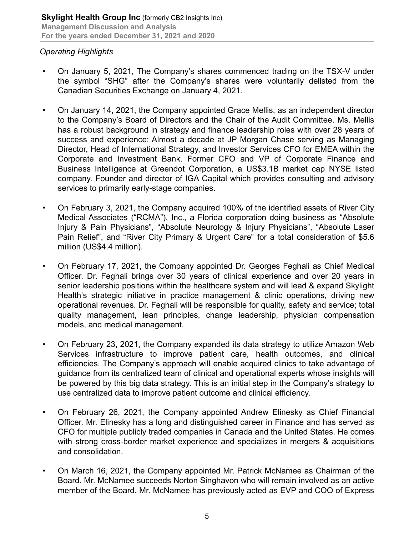# *Operating Highlights*

- On January 5, 2021, The Company's shares commenced trading on the TSX-V under the symbol "SHG" after the Company's shares were voluntarily delisted from the Canadian Securities Exchange on January 4, 2021.
- On January 14, 2021, the Company appointed Grace Mellis, as an independent director to the Company's Board of Directors and the Chair of the Audit Committee. Ms. Mellis has a robust background in strategy and finance leadership roles with over 28 years of success and experience: Almost a decade at JP Morgan Chase serving as Managing Director, Head of International Strategy, and Investor Services CFO for EMEA within the Corporate and Investment Bank. Former CFO and VP of Corporate Finance and Business Intelligence at Greendot Corporation, a US\$3.1B market cap NYSE listed company. Founder and director of IGA Capital which provides consulting and advisory services to primarily early-stage companies.
- On February 3, 2021, the Company acquired 100% of the identified assets of River City Medical Associates ("RCMA"), Inc., a Florida corporation doing business as "Absolute Injury & Pain Physicians", "Absolute Neurology & Injury Physicians", "Absolute Laser Pain Relief", and "River City Primary & Urgent Care" for a total consideration of \$5.6 million (US\$4.4 million).
- On February 17, 2021, the Company appointed Dr. Georges Feghali as Chief Medical Officer. Dr. Feghali brings over 30 years of clinical experience and over 20 years in senior leadership positions within the healthcare system and will lead & expand Skylight Health's strategic initiative in practice management & clinic operations, driving new operational revenues. Dr. Feghali will be responsible for quality, safety and service; total quality management, lean principles, change leadership, physician compensation models, and medical management.
- On February 23, 2021, the Company expanded its data strategy to utilize Amazon Web Services infrastructure to improve patient care, health outcomes, and clinical efficiencies. The Company's approach will enable acquired clinics to take advantage of guidance from its centralized team of clinical and operational experts whose insights will be powered by this big data strategy. This is an initial step in the Company's strategy to use centralized data to improve patient outcome and clinical efficiency.
- On February 26, 2021, the Company appointed Andrew Elinesky as Chief Financial Officer. Mr. Elinesky has a long and distinguished career in Finance and has served as CFO for multiple publicly traded companies in Canada and the United States. He comes with strong cross-border market experience and specializes in mergers & acquisitions and consolidation.
- On March 16, 2021, the Company appointed Mr. Patrick McNamee as Chairman of the Board. Mr. McNamee succeeds Norton Singhavon who will remain involved as an active member of the Board. Mr. McNamee has previously acted as EVP and COO of Express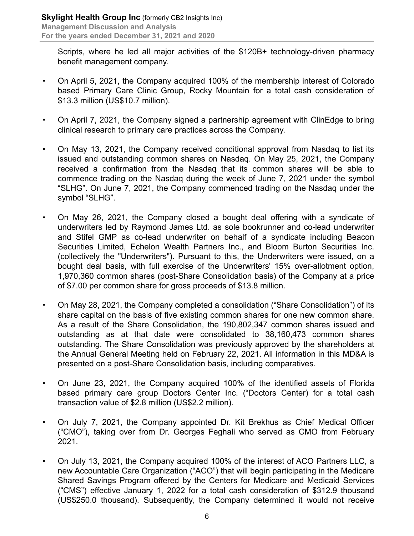Scripts, where he led all major activities of the \$120B+ technology-driven pharmacy benefit management company.

- On April 5, 2021, the Company acquired 100% of the membership interest of Colorado based Primary Care Clinic Group, Rocky Mountain for a total cash consideration of \$13.3 million (US\$10.7 million).
- On April 7, 2021, the Company signed a partnership agreement with ClinEdge to bring clinical research to primary care practices across the Company.
- On May 13, 2021, the Company received conditional approval from Nasdaq to list its issued and outstanding common shares on Nasdaq. On May 25, 2021, the Company received a confirmation from the Nasdaq that its common shares will be able to commence trading on the Nasdaq during the week of June 7, 2021 under the symbol "SLHG". On June 7, 2021, the Company commenced trading on the Nasdaq under the symbol "SLHG".
- On May 26, 2021, the Company closed a bought deal offering with a syndicate of underwriters led by Raymond James Ltd. as sole bookrunner and co-lead underwriter and Stifel GMP as co-lead underwriter on behalf of a syndicate including Beacon Securities Limited, Echelon Wealth Partners Inc., and Bloom Burton Securities Inc. (collectively the "Underwriters"). Pursuant to this, the Underwriters were issued, on a bought deal basis, with full exercise of the Underwriters' 15% over-allotment option, 1,970,360 common shares (post-Share Consolidation basis) of the Company at a price of \$7.00 per common share for gross proceeds of \$13.8 million.
- On May 28, 2021, the Company completed a consolidation ("Share Consolidation") of its share capital on the basis of five existing common shares for one new common share. As a result of the Share Consolidation, the 190,802,347 common shares issued and outstanding as at that date were consolidated to 38,160,473 common shares outstanding. The Share Consolidation was previously approved by the shareholders at the Annual General Meeting held on February 22, 2021. All information in this MD&A is presented on a post-Share Consolidation basis, including comparatives.
- On June 23, 2021, the Company acquired 100% of the identified assets of Florida based primary care group Doctors Center Inc. ("Doctors Center) for a total cash transaction value of \$2.8 million (US\$2.2 million).
- On July 7, 2021, the Company appointed Dr. Kit Brekhus as Chief Medical Officer ("CMO"), taking over from Dr. Georges Feghali who served as CMO from February 2021.
- On July 13, 2021, the Company acquired 100% of the interest of ACO Partners LLC, a new Accountable Care Organization ("ACO") that will begin participating in the Medicare Shared Savings Program offered by the Centers for Medicare and Medicaid Services ("CMS") effective January 1, 2022 for a total cash consideration of \$312.9 thousand (US\$250.0 thousand). Subsequently, the Company determined it would not receive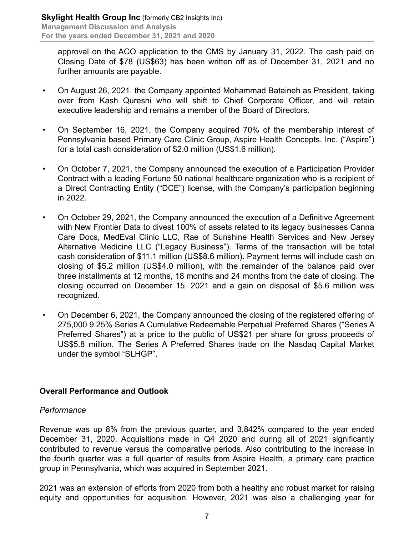approval on the ACO application to the CMS by January 31, 2022. The cash paid on Closing Date of \$78 (US\$63) has been written off as of December 31, 2021 and no further amounts are payable.

- On August 26, 2021, the Company appointed Mohammad Bataineh as President, taking over from Kash Qureshi who will shift to Chief Corporate Officer, and will retain executive leadership and remains a member of the Board of Directors.
- On September 16, 2021, the Company acquired 70% of the membership interest of Pennsylvania based Primary Care Clinic Group, Aspire Health Concepts, Inc. ("Aspire") for a total cash consideration of \$2.0 million (US\$1.6 million).
- On October 7, 2021, the Company announced the execution of a Participation Provider Contract with a leading Fortune 50 national healthcare organization who is a recipient of a Direct Contracting Entity ("DCE") license, with the Company's participation beginning in 2022.
- On October 29, 2021, the Company announced the execution of a Definitive Agreement with New Frontier Data to divest 100% of assets related to its legacy businesses Canna Care Docs, MedEval Clinic LLC, Rae of Sunshine Health Services and New Jersey Alternative Medicine LLC ("Legacy Business"). Terms of the transaction will be total cash consideration of \$11.1 million (US\$8.6 million). Payment terms will include cash on closing of \$5.2 million (US\$4.0 million), with the remainder of the balance paid over three installments at 12 months, 18 months and 24 months from the date of closing. The closing occurred on December 15, 2021 and a gain on disposal of \$5.6 million was recognized.
- On December 6, 2021, the Company announced the closing of the registered offering of 275,000 9.25% Series A Cumulative Redeemable Perpetual Preferred Shares ("Series A Preferred Shares") at a price to the public of US\$21 per share for gross proceeds of US\$5.8 million. The Series A Preferred Shares trade on the Nasdaq Capital Market under the symbol "SLHGP".

# **Overall Performance and Outlook**

# *Performance*

Revenue was up 8% from the previous quarter, and 3,842% compared to the year ended December 31, 2020. Acquisitions made in Q4 2020 and during all of 2021 significantly contributed to revenue versus the comparative periods. Also contributing to the increase in the fourth quarter was a full quarter of results from Aspire Health, a primary care practice group in Pennsylvania, which was acquired in September 2021.

2021 was an extension of efforts from 2020 from both a healthy and robust market for raising equity and opportunities for acquisition. However, 2021 was also a challenging year for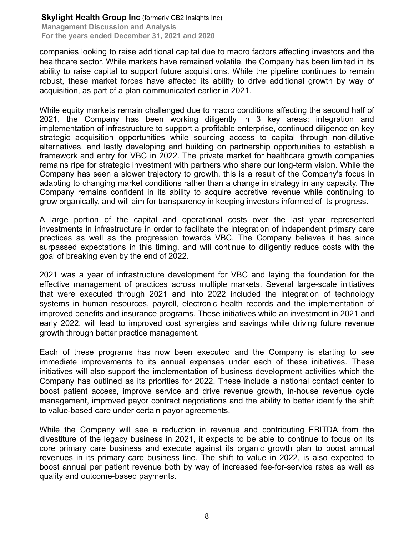companies looking to raise additional capital due to macro factors affecting investors and the healthcare sector. While markets have remained volatile, the Company has been limited in its ability to raise capital to support future acquisitions. While the pipeline continues to remain robust, these market forces have affected its ability to drive additional growth by way of acquisition, as part of a plan communicated earlier in 2021.

While equity markets remain challenged due to macro conditions affecting the second half of 2021, the Company has been working diligently in 3 key areas: integration and implementation of infrastructure to support a profitable enterprise, continued diligence on key strategic acquisition opportunities while sourcing access to capital through non-dilutive alternatives, and lastly developing and building on partnership opportunities to establish a framework and entry for VBC in 2022. The private market for healthcare growth companies remains ripe for strategic investment with partners who share our long-term vision. While the Company has seen a slower trajectory to growth, this is a result of the Company's focus in adapting to changing market conditions rather than a change in strategy in any capacity. The Company remains confident in its ability to acquire accretive revenue while continuing to grow organically, and will aim for transparency in keeping investors informed of its progress.

A large portion of the capital and operational costs over the last year represented investments in infrastructure in order to facilitate the integration of independent primary care practices as well as the progression towards VBC. The Company believes it has since surpassed expectations in this timing, and will continue to diligently reduce costs with the goal of breaking even by the end of 2022.

2021 was a year of infrastructure development for VBC and laying the foundation for the effective management of practices across multiple markets. Several large-scale initiatives that were executed through 2021 and into 2022 included the integration of technology systems in human resources, payroll, electronic health records and the implementation of improved benefits and insurance programs. These initiatives while an investment in 2021 and early 2022, will lead to improved cost synergies and savings while driving future revenue growth through better practice management.

Each of these programs has now been executed and the Company is starting to see immediate improvements to its annual expenses under each of these initiatives. These initiatives will also support the implementation of business development activities which the Company has outlined as its priorities for 2022. These include a national contact center to boost patient access, improve service and drive revenue growth, in-house revenue cycle management, improved payor contract negotiations and the ability to better identify the shift to value-based care under certain payor agreements.

While the Company will see a reduction in revenue and contributing EBITDA from the divestiture of the legacy business in 2021, it expects to be able to continue to focus on its core primary care business and execute against its organic growth plan to boost annual revenues in its primary care business line. The shift to value in 2022, is also expected to boost annual per patient revenue both by way of increased fee-for-service rates as well as quality and outcome-based payments.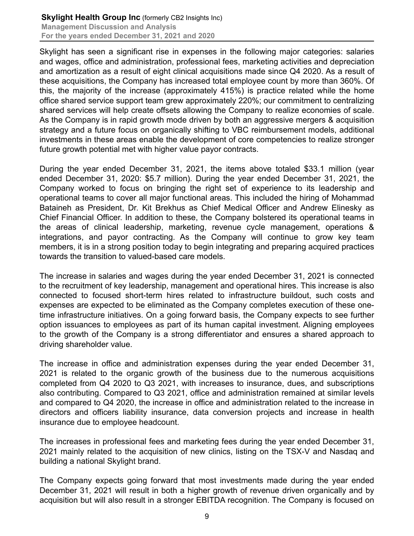Skylight has seen a significant rise in expenses in the following major categories: salaries and wages, office and administration, professional fees, marketing activities and depreciation and amortization as a result of eight clinical acquisitions made since Q4 2020. As a result of these acquisitions, the Company has increased total employee count by more than 360%. Of this, the majority of the increase (approximately 415%) is practice related while the home office shared service support team grew approximately 220%; our commitment to centralizing shared services will help create offsets allowing the Company to realize economies of scale. As the Company is in rapid growth mode driven by both an aggressive mergers & acquisition strategy and a future focus on organically shifting to VBC reimbursement models, additional investments in these areas enable the development of core competencies to realize stronger future growth potential met with higher value payor contracts.

During the year ended December 31, 2021, the items above totaled \$33.1 million (year ended December 31, 2020: \$5.7 million). During the year ended December 31, 2021, the Company worked to focus on bringing the right set of experience to its leadership and operational teams to cover all major functional areas. This included the hiring of Mohammad Bataineh as President, Dr. Kit Brekhus as Chief Medical Officer and Andrew Elinesky as Chief Financial Officer. In addition to these, the Company bolstered its operational teams in the areas of clinical leadership, marketing, revenue cycle management, operations & integrations, and payor contracting. As the Company will continue to grow key team members, it is in a strong position today to begin integrating and preparing acquired practices towards the transition to valued-based care models.

The increase in salaries and wages during the year ended December 31, 2021 is connected to the recruitment of key leadership, management and operational hires. This increase is also connected to focused short-term hires related to infrastructure buildout, such costs and expenses are expected to be eliminated as the Company completes execution of these onetime infrastructure initiatives. On a going forward basis, the Company expects to see further option issuances to employees as part of its human capital investment. Aligning employees to the growth of the Company is a strong differentiator and ensures a shared approach to driving shareholder value.

The increase in office and administration expenses during the year ended December 31, 2021 is related to the organic growth of the business due to the numerous acquisitions completed from Q4 2020 to Q3 2021, with increases to insurance, dues, and subscriptions also contributing. Compared to Q3 2021, office and administration remained at similar levels and compared to Q4 2020, the increase in office and administration related to the increase in directors and officers liability insurance, data conversion projects and increase in health insurance due to employee headcount.

The increases in professional fees and marketing fees during the year ended December 31, 2021 mainly related to the acquisition of new clinics, listing on the TSX-V and Nasdaq and building a national Skylight brand.

The Company expects going forward that most investments made during the year ended December 31, 2021 will result in both a higher growth of revenue driven organically and by acquisition but will also result in a stronger EBITDA recognition. The Company is focused on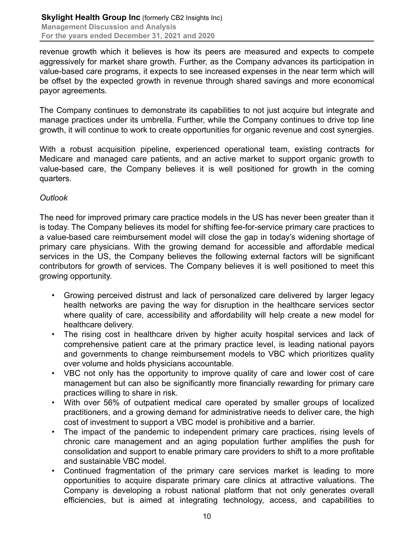revenue growth which it believes is how its peers are measured and expects to compete aggressively for market share growth. Further, as the Company advances its participation in value-based care programs, it expects to see increased expenses in the near term which will be offset by the expected growth in revenue through shared savings and more economical payor agreements.

The Company continues to demonstrate its capabilities to not just acquire but integrate and manage practices under its umbrella. Further, while the Company continues to drive top line growth, it will continue to work to create opportunities for organic revenue and cost synergies.

With a robust acquisition pipeline, experienced operational team, existing contracts for Medicare and managed care patients, and an active market to support organic growth to value-based care, the Company believes it is well positioned for growth in the coming quarters.

# *Outlook*

The need for improved primary care practice models in the US has never been greater than it is today. The Company believes its model for shifting fee-for-service primary care practices to a value-based care reimbursement model will close the gap in today's widening shortage of primary care physicians. With the growing demand for accessible and affordable medical services in the US, the Company believes the following external factors will be significant contributors for growth of services. The Company believes it is well positioned to meet this growing opportunity.

- Growing perceived distrust and lack of personalized care delivered by larger legacy health networks are paving the way for disruption in the healthcare services sector where quality of care, accessibility and affordability will help create a new model for healthcare delivery.
- The rising cost in healthcare driven by higher acuity hospital services and lack of comprehensive patient care at the primary practice level, is leading national payors and governments to change reimbursement models to VBC which prioritizes quality over volume and holds physicians accountable.
- VBC not only has the opportunity to improve quality of care and lower cost of care management but can also be significantly more financially rewarding for primary care practices willing to share in risk.
- With over 56% of outpatient medical care operated by smaller groups of localized practitioners, and a growing demand for administrative needs to deliver care, the high cost of investment to support a VBC model is prohibitive and a barrier.
- The impact of the pandemic to independent primary care practices, rising levels of chronic care management and an aging population further amplifies the push for consolidation and support to enable primary care providers to shift to a more profitable and sustainable VBC model.
- Continued fragmentation of the primary care services market is leading to more opportunities to acquire disparate primary care clinics at attractive valuations. The Company is developing a robust national platform that not only generates overall efficiencies, but is aimed at integrating technology, access, and capabilities to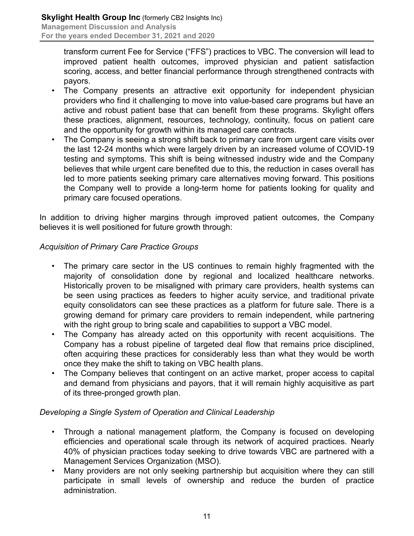transform current Fee for Service ("FFS") practices to VBC. The conversion will lead to improved patient health outcomes, improved physician and patient satisfaction scoring, access, and better financial performance through strengthened contracts with payors.

- The Company presents an attractive exit opportunity for independent physician providers who find it challenging to move into value-based care programs but have an active and robust patient base that can benefit from these programs. Skylight offers these practices, alignment, resources, technology, continuity, focus on patient care and the opportunity for growth within its managed care contracts.
- The Company is seeing a strong shift back to primary care from urgent care visits over the last 12-24 months which were largely driven by an increased volume of COVID-19 testing and symptoms. This shift is being witnessed industry wide and the Company believes that while urgent care benefited due to this, the reduction in cases overall has led to more patients seeking primary care alternatives moving forward. This positions the Company well to provide a long-term home for patients looking for quality and primary care focused operations.

In addition to driving higher margins through improved patient outcomes, the Company believes it is well positioned for future growth through:

# *Acquisition of Primary Care Practice Groups*

- The primary care sector in the US continues to remain highly fragmented with the majority of consolidation done by regional and localized healthcare networks. Historically proven to be misaligned with primary care providers, health systems can be seen using practices as feeders to higher acuity service, and traditional private equity consolidators can see these practices as a platform for future sale. There is a growing demand for primary care providers to remain independent, while partnering with the right group to bring scale and capabilities to support a VBC model.
- The Company has already acted on this opportunity with recent acquisitions. The Company has a robust pipeline of targeted deal flow that remains price disciplined, often acquiring these practices for considerably less than what they would be worth once they make the shift to taking on VBC health plans.
- The Company believes that contingent on an active market, proper access to capital and demand from physicians and payors, that it will remain highly acquisitive as part of its three-pronged growth plan.

# *Developing a Single System of Operation and Clinical Leadership*

- Through a national management platform, the Company is focused on developing efficiencies and operational scale through its network of acquired practices. Nearly 40% of physician practices today seeking to drive towards VBC are partnered with a Management Services Organization (MSO).
- Many providers are not only seeking partnership but acquisition where they can still participate in small levels of ownership and reduce the burden of practice administration.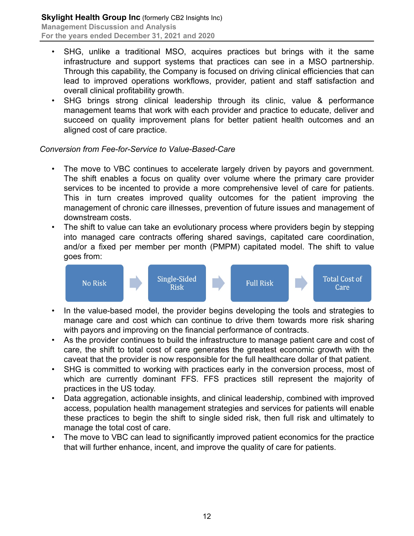- SHG, unlike a traditional MSO, acquires practices but brings with it the same infrastructure and support systems that practices can see in a MSO partnership. Through this capability, the Company is focused on driving clinical efficiencies that can lead to improved operations workflows, provider, patient and staff satisfaction and overall clinical profitability growth.
- SHG brings strong clinical leadership through its clinic, value & performance management teams that work with each provider and practice to educate, deliver and succeed on quality improvement plans for better patient health outcomes and an aligned cost of care practice.

# *Conversion from Fee-for-Service to Value-Based-Care*

- The move to VBC continues to accelerate largely driven by payors and government. The shift enables a focus on quality over volume where the primary care provider services to be incented to provide a more comprehensive level of care for patients. This in turn creates improved quality outcomes for the patient improving the management of chronic care illnesses, prevention of future issues and management of downstream costs.
- The shift to value can take an evolutionary process where providers begin by stepping into managed care contracts offering shared savings, capitated care coordination, and/or a fixed per member per month (PMPM) capitated model. The shift to value goes from:



- In the value-based model, the provider begins developing the tools and strategies to manage care and cost which can continue to drive them towards more risk sharing with payors and improving on the financial performance of contracts.
- As the provider continues to build the infrastructure to manage patient care and cost of care, the shift to total cost of care generates the greatest economic growth with the caveat that the provider is now responsible for the full healthcare dollar of that patient.
- SHG is committed to working with practices early in the conversion process, most of which are currently dominant FFS. FFS practices still represent the majority of practices in the US today.
- Data aggregation, actionable insights, and clinical leadership, combined with improved access, population health management strategies and services for patients will enable these practices to begin the shift to single sided risk, then full risk and ultimately to manage the total cost of care.
- The move to VBC can lead to significantly improved patient economics for the practice that will further enhance, incent, and improve the quality of care for patients.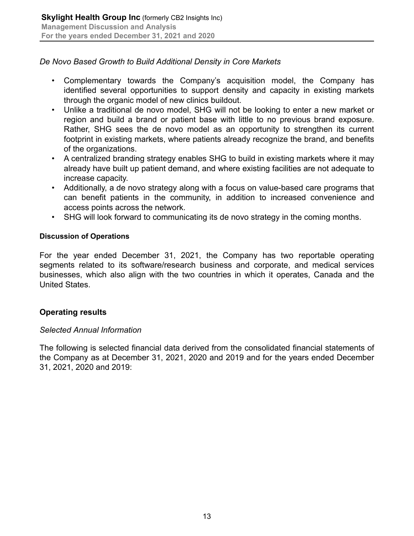# *De Novo Based Growth to Build Additional Density in Core Markets*

- Complementary towards the Company's acquisition model, the Company has identified several opportunities to support density and capacity in existing markets through the organic model of new clinics buildout.
- Unlike a traditional de novo model, SHG will not be looking to enter a new market or region and build a brand or patient base with little to no previous brand exposure. Rather, SHG sees the de novo model as an opportunity to strengthen its current footprint in existing markets, where patients already recognize the brand, and benefits of the organizations.
- A centralized branding strategy enables SHG to build in existing markets where it may already have built up patient demand, and where existing facilities are not adequate to increase capacity.
- Additionally, a de novo strategy along with a focus on value-based care programs that can benefit patients in the community, in addition to increased convenience and access points across the network.
- SHG will look forward to communicating its de novo strategy in the coming months.

# **Discussion of Operations**

For the year ended December 31, 2021, the Company has two reportable operating segments related to its software/research business and corporate, and medical services businesses, which also align with the two countries in which it operates, Canada and the United States.

# **Operating results**

# *Selected Annual Information*

The following is selected financial data derived from the consolidated financial statements of the Company as at December 31, 2021, 2020 and 2019 and for the years ended December 31, 2021, 2020 and 2019: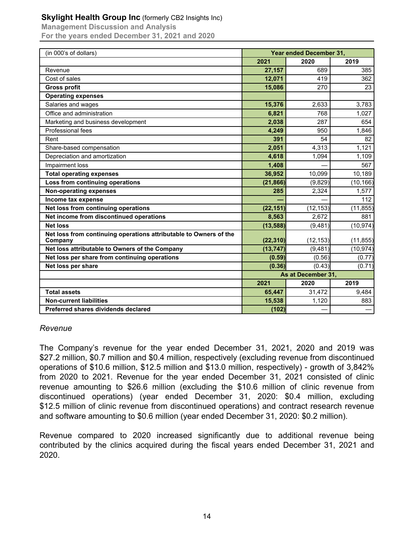# **Skylight Health Group Inc** (formerly CB2 Insights Inc)

**Management Discussion and Analysis For the years ended December 31, 2021 and 2020**

| (in 000's of dollars)                                             | <b>Year ended December 31,</b> |           |           |
|-------------------------------------------------------------------|--------------------------------|-----------|-----------|
|                                                                   | 2021                           | 2020      | 2019      |
| Revenue                                                           | 27,157                         | 689       | 385       |
| Cost of sales                                                     | 12,071                         | 419       | 362       |
| <b>Gross profit</b>                                               | 15,086                         | 270       | 23        |
| <b>Operating expenses</b>                                         |                                |           |           |
| Salaries and wages                                                | 15,376                         | 2,633     | 3,783     |
| Office and administration                                         | 6,821                          | 768       | 1,027     |
| Marketing and business development                                | 2,038                          | 287       | 654       |
| Professional fees                                                 | 4,249                          | 950       | 1,846     |
| Rent                                                              | 391                            | 54        | 82        |
| Share-based compensation                                          | 2,051                          | 4,313     | 1,121     |
| Depreciation and amortization                                     | 4,618                          | 1,094     | 1,109     |
| Impairment loss                                                   | 1,408                          |           | 567       |
| <b>Total operating expenses</b>                                   | 36,952                         | 10,099    | 10,189    |
| Loss from continuing operations                                   | (21, 866)                      | (9,829)   | (10, 166) |
| <b>Non-operating expenses</b>                                     | 285                            | 2,324     | 1,577     |
| Income tax expense                                                |                                |           | 112       |
| Net loss from continuing operations                               | (22, 151)                      | (12, 153) | (11, 855) |
| Net income from discontinued operations                           | 8,563                          | 2,672     | 881       |
| <b>Net loss</b>                                                   | (13,588)                       | (9,481)   | (10, 974) |
| Net loss from continuing operations attributable to Owners of the |                                |           |           |
| Company                                                           | (22, 310)                      | (12, 153) | (11, 855) |
| Net loss attributable to Owners of the Company                    | (13, 747)                      | (9,481)   | (10, 974) |
| Net loss per share from continuing operations                     | (0.59)                         | (0.56)    | (0.77)    |
| Net loss per share                                                | (0.36)                         | (0.43)    | (0.71)    |
|                                                                   | As at December 31,             |           |           |
|                                                                   | 2021                           | 2020      | 2019      |
| <b>Total assets</b>                                               | 65,447                         | 31,472    | 9,484     |
| <b>Non-current liabilities</b>                                    | 15,538                         | 1,120     | 883       |
| Preferred shares dividends declared                               | (102)                          |           |           |

#### *Revenue*

The Company's revenue for the year ended December 31, 2021, 2020 and 2019 was \$27.2 million, \$0.7 million and \$0.4 million, respectively (excluding revenue from discontinued operations of \$10.6 million, \$12.5 million and \$13.0 million, respectively) - growth of 3,842% from 2020 to 2021. Revenue for the year ended December 31, 2021 consisted of clinic revenue amounting to \$26.6 million (excluding the \$10.6 million of clinic revenue from discontinued operations) (year ended December 31, 2020: \$0.4 million, excluding \$12.5 million of clinic revenue from discontinued operations) and contract research revenue and software amounting to \$0.6 million (year ended December 31, 2020: \$0.2 million).

Revenue compared to 2020 increased significantly due to additional revenue being contributed by the clinics acquired during the fiscal years ended December 31, 2021 and 2020.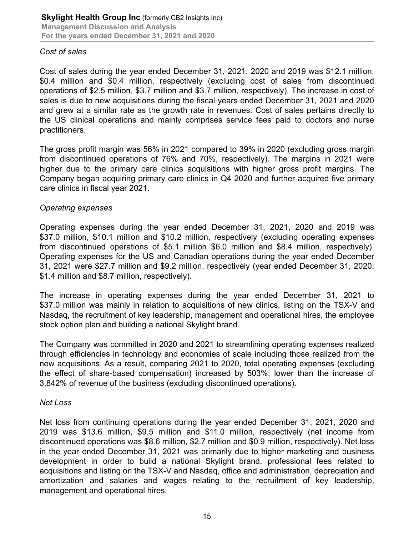# *Cost of sales*

Cost of sales during the year ended December 31, 2021, 2020 and 2019 was \$12.1 million, \$0.4 million and \$0.4 million, respectively (excluding cost of sales from discontinued operations of \$2.5 million, \$3.7 million and \$3.7 million, respectively). The increase in cost of sales is due to new acquisitions during the fiscal years ended December 31, 2021 and 2020 and grew at a similar rate as the growth rate in revenues. Cost of sales pertains directly to the US clinical operations and mainly comprises service fees paid to doctors and nurse practitioners.

The gross profit margin was 56% in 2021 compared to 39% in 2020 (excluding gross margin from discontinued operations of 76% and 70%, respectively). The margins in 2021 were higher due to the primary care clinics acquisitions with higher gross profit margins. The Company began acquiring primary care clinics in Q4 2020 and further acquired five primary care clinics in fiscal year 2021.

# *Operating expenses*

Operating expenses during the year ended December 31, 2021, 2020 and 2019 was \$37.0 million, \$10.1 million and \$10.2 million, respectively (excluding operating expenses from discontinued operations of \$5.1 million \$6.0 million and \$8.4 million, respectively). Operating expenses for the US and Canadian operations during the year ended December 31, 2021 were \$27.7 million and \$9.2 million, respectively (year ended December 31, 2020: \$1.4 million and \$8.7 million, respectively).

The increase in operating expenses during the year ended December 31, 2021 to \$37.0 million was mainly in relation to acquisitions of new clinics, listing on the TSX-V and Nasdaq, the recruitment of key leadership, management and operational hires, the employee stock option plan and building a national Skylight brand.

The Company was committed in 2020 and 2021 to streamlining operating expenses realized through efficiencies in technology and economies of scale including those realized from the new acquisitions. As a result, comparing 2021 to 2020, total operating expenses (excluding the effect of share-based compensation) increased by 503%, lower than the increase of 3,842% of revenue of the business (excluding discontinued operations).

# *Net Loss*

Net loss from continuing operations during the year ended December 31, 2021, 2020 and 2019 was \$13.6 million, \$9.5 million and \$11.0 million, respectively (net income from discontinued operations was \$8.6 million, \$2.7 million and \$0.9 million, respectively). Net loss in the year ended December 31, 2021 was primarily due to higher marketing and business development in order to build a national Skylight brand, professional fees related to acquisitions and listing on the TSX-V and Nasdaq, office and administration, depreciation and amortization and salaries and wages relating to the recruitment of key leadership, management and operational hires.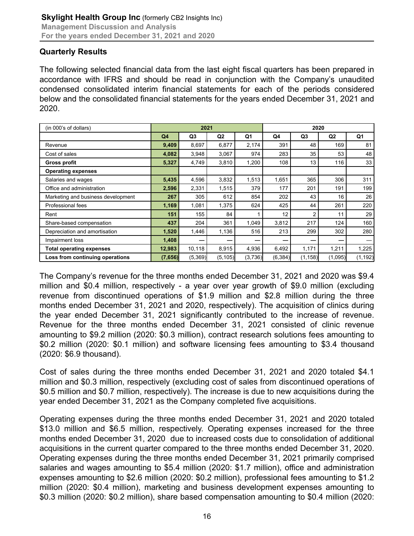# **Quarterly Results**

The following selected financial data from the last eight fiscal quarters has been prepared in accordance with IFRS and should be read in conjunction with the Company's unaudited condensed consolidated interim financial statements for each of the periods considered below and the consolidated financial statements for the years ended December 31, 2021 and 2020.

| (in 000's of dollars)              | 2021    |                | 2020           |         |          |          |                |          |
|------------------------------------|---------|----------------|----------------|---------|----------|----------|----------------|----------|
|                                    | Q4      | Q <sub>3</sub> | Q <sub>2</sub> | Q1      | Q4       | Q3       | Q <sub>2</sub> | Q1       |
| Revenue                            | 9,409   | 8,697          | 6,877          | 2,174   | 391      | 48       | 169            | 81       |
| Cost of sales                      | 4,082   | 3,948          | 3,067          | 974     | 283      | 35       | 53             | 48       |
| <b>Gross profit</b>                | 5,327   | 4,749          | 3,810          | 1,200   | 108      | 13       | 116            | 33       |
| <b>Operating expenses</b>          |         |                |                |         |          |          |                |          |
| Salaries and wages                 | 5,435   | 4,596          | 3,832          | 1,513   | 1,651    | 365      | 306            | 311      |
| Office and administration          | 2,596   | 2,331          | 1,515          | 379     | 177      | 201      | 191            | 199      |
| Marketing and business development | 267     | 305            | 612            | 854     | 202      | 43       | 16             | 26       |
| Professional fees                  | 1,169   | 1,081          | 1,375          | 624     | 425      | 44       | 261            | 220      |
| Rent                               | 151     | 155            | 84             |         | 12       | 2        | 11             | 29       |
| Share-based compensation           | 437     | 204            | 361            | 1,049   | 3,812    | 217      | 124            | 160      |
| Depreciation and amortisation      | 1,520   | 1,446          | 1,136          | 516     | 213      | 299      | 302            | 280      |
| Impairment loss                    | 1,408   |                |                |         |          |          |                |          |
| <b>Total operating expenses</b>    | 12,983  | 10,118         | 8,915          | 4,936   | 6,492    | 1,171    | 1,211          | 1,225    |
| Loss from continuing operations    | (7,656) | (5,369)        | (5, 105)       | (3,736) | (6, 384) | (1, 158) | (1,095)        | (1, 192) |

The Company's revenue for the three months ended December 31, 2021 and 2020 was \$9.4 million and \$0.4 million, respectively - a year over year growth of \$9.0 million (excluding revenue from discontinued operations of \$1.9 million and \$2.8 million during the three months ended December 31, 2021 and 2020, respectively). The acquisition of clinics during the year ended December 31, 2021 significantly contributed to the increase of revenue. Revenue for the three months ended December 31, 2021 consisted of clinic revenue amounting to \$9.2 million (2020: \$0.3 million), contract research solutions fees amounting to \$0.2 million (2020: \$0.1 million) and software licensing fees amounting to \$3.4 thousand (2020: \$6.9 thousand).

Cost of sales during the three months ended December 31, 2021 and 2020 totaled \$4.1 million and \$0.3 million, respectively (excluding cost of sales from discontinued operations of \$0.5 million and \$0.7 million, respectively). The increase is due to new acquisitions during the year ended December 31, 2021 as the Company completed five acquisitions.

Operating expenses during the three months ended December 31, 2021 and 2020 totaled \$13.0 million and \$6.5 million, respectively. Operating expenses increased for the three months ended December 31, 2020 due to increased costs due to consolidation of additional acquisitions in the current quarter compared to the three months ended December 31, 2020. Operating expenses during the three months ended December 31, 2021 primarily comprised salaries and wages amounting to \$5.4 million (2020: \$1.7 million), office and administration expenses amounting to \$2.6 million (2020: \$0.2 million), professional fees amounting to \$1.2 million (2020: \$0.4 million), marketing and business development expenses amounting to \$0.3 million (2020: \$0.2 million), share based compensation amounting to \$0.4 million (2020: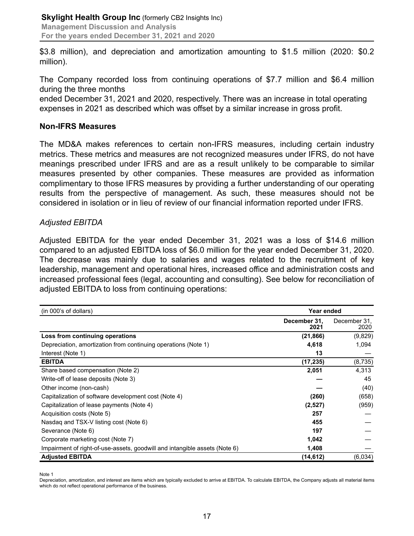\$3.8 million), and depreciation and amortization amounting to \$1.5 million (2020: \$0.2 million).

The Company recorded loss from continuing operations of \$7.7 million and \$6.4 million during the three months

ended December 31, 2021 and 2020, respectively. There was an increase in total operating expenses in 2021 as described which was offset by a similar increase in gross profit.

#### **Non-IFRS Measures**

The MD&A makes references to certain non-IFRS measures, including certain industry metrics. These metrics and measures are not recognized measures under IFRS, do not have meanings prescribed under IFRS and are as a result unlikely to be comparable to similar measures presented by other companies. These measures are provided as information complimentary to those IFRS measures by providing a further understanding of our operating results from the perspective of management. As such, these measures should not be considered in isolation or in lieu of review of our financial information reported under IFRS.

#### *Adjusted EBITDA*

Adjusted EBITDA for the year ended December 31, 2021 was a loss of \$14.6 million compared to an adjusted EBITDA loss of \$6.0 million for the year ended December 31, 2020. The decrease was mainly due to salaries and wages related to the recruitment of key leadership, management and operational hires, increased office and administration costs and increased professional fees (legal, accounting and consulting). See below for reconciliation of adjusted EBITDA to loss from continuing operations:

| (in 000's of dollars)                                                      | Year ended           |                      |
|----------------------------------------------------------------------------|----------------------|----------------------|
|                                                                            | December 31,<br>2021 | December 31,<br>2020 |
| Loss from continuing operations                                            | (21,866)             | (9,829)              |
| Depreciation, amortization from continuing operations (Note 1)             | 4,618                | 1,094                |
| Interest (Note 1)                                                          | 13                   |                      |
| <b>EBITDA</b>                                                              | (17, 235)            | (8,735)              |
| Share based compensation (Note 2)                                          | 2,051                | 4,313                |
| Write-off of lease deposits (Note 3)                                       |                      | 45                   |
| Other income (non-cash)                                                    |                      | (40)                 |
| Capitalization of software development cost (Note 4)                       | (260)                | (658)                |
| Capitalization of lease payments (Note 4)                                  | (2,527)              | (959)                |
| Acquisition costs (Note 5)                                                 | 257                  |                      |
| Nasdag and TSX-V listing cost (Note 6)                                     | 455                  |                      |
| Severance (Note 6)                                                         | 197                  |                      |
| Corporate marketing cost (Note 7)                                          | 1,042                |                      |
| Impairment of right-of-use-assets, goodwill and intangible assets (Note 6) | 1,408                |                      |
| <b>Adjusted EBITDA</b>                                                     | (14, 612)            | (6,034)              |

Note 1

Depreciation, amortization, and interest are items which are typically excluded to arrive at EBITDA. To calculate EBITDA, the Company adjusts all material items which do not reflect operational performance of the business.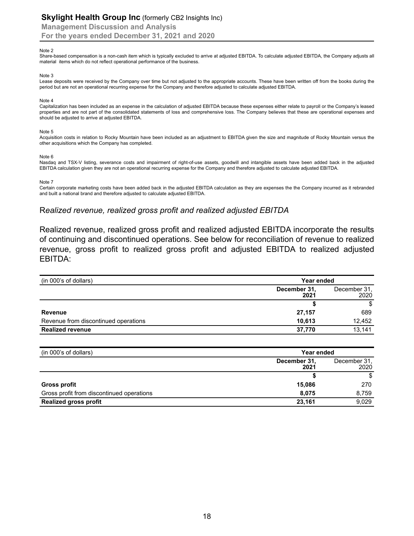**Management Discussion and Analysis**

**For the years ended December 31, 2021 and 2020**

#### Note 2

Share-based compensation is a non-cash item which is typically excluded to arrive at adjusted EBITDA. To calculate adjusted EBITDA, the Company adjusts all material items which do not reflect operational performance of the business.

#### Note 3

Lease deposits were received by the Company over time but not adjusted to the appropriate accounts. These have been written off from the books during the period but are not an operational recurring expense for the Company and therefore adjusted to calculate adjusted EBITDA.

#### Note 4

Capitalization has been included as an expense in the calculation of adjusted EBITDA because these expenses either relate to payroll or the Company's leased properties and are not part of the consolidated statements of loss and comprehensive loss. The Company believes that these are operational expenses and should be adjusted to arrive at adjusted EBITDA.

#### Note 5

Acquisition costs in relation to Rocky Mountain have been included as an adjustment to EBITDA given the size and magnitude of Rocky Mountain versus the other acquisitions which the Company has completed.

#### Note 6

Nasdaq and TSX-V listing, severance costs and impairment of right-of-use assets, goodwill and intangible assets have been added back in the adjusted EBITDA calculation given they are not an operational recurring expense for the Company and therefore adjusted to calculate adjusted EBITDA.

#### Note 7

Certain corporate marketing costs have been added back in the adjusted EBITDA calculation as they are expenses the the Company incurred as it rebranded and built a national brand and therefore adjusted to calculate adjusted EBITDA.

#### R*ealized revenue, realized gross profit and realized adjusted EBITDA*

Realized revenue, realized gross profit and realized adjusted EBITDA incorporate the results of continuing and discontinued operations. See below for reconciliation of revenue to realized revenue, gross profit to realized gross profit and adjusted EBITDA to realized adjusted EBITDA:

| (in 000's of dollars)                | Year ended           |                      |
|--------------------------------------|----------------------|----------------------|
|                                      | December 31,<br>2021 | December 31,<br>2020 |
|                                      |                      | \$                   |
| <b>Revenue</b>                       | 27,157               | 689                  |
| Revenue from discontinued operations | 10.613               | 12,452               |
| <b>Realized revenue</b>              | 37.770               | 13.141               |

| (in 000's of dollars)                     | Year ended           |                      |
|-------------------------------------------|----------------------|----------------------|
|                                           | December 31,<br>2021 | December 31,<br>2020 |
|                                           |                      | \$                   |
| Gross profit                              | 15,086               | 270                  |
| Gross profit from discontinued operations | 8.075                | 8.759                |
| <b>Realized gross profit</b>              | 23.161               | 9.029                |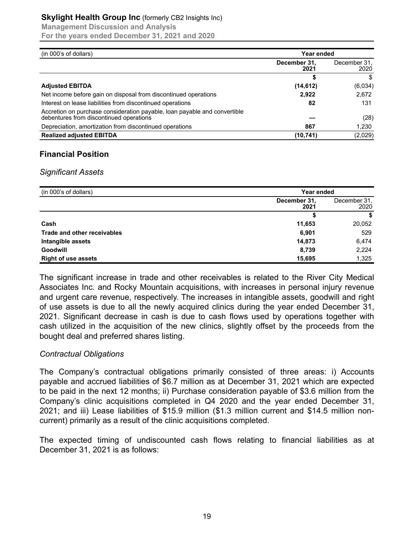#### **Skylight Health Group Inc** (formerly CB2 Insights Inc)

**Management Discussion and Analysis**

**For the years ended December 31, 2021 and 2020**

| (in 000's of dollars)                                                                                                | Year ended           |                      |
|----------------------------------------------------------------------------------------------------------------------|----------------------|----------------------|
|                                                                                                                      | December 31,<br>2021 | December 31,<br>2020 |
|                                                                                                                      |                      |                      |
| <b>Adjusted EBITDA</b>                                                                                               | (14, 612)            | (6,034)              |
| Net income before gain on disposal from discontinued operations                                                      | 2.922                | 2,672                |
| Interest on lease liabilities from discontinued operations                                                           | 82                   | 131                  |
| Accretion on purchase consideration payable, loan payable and convertible<br>debentures from discontinued operations |                      | (28)                 |
| Depreciation, amortization from discontinued operations                                                              | 867                  | 1,230                |
| <b>Realized adjusted EBITDA</b>                                                                                      | (10, 741)            | (2,029)              |

# **Financial Position**

#### *Significant Assets*

| (in 000's of dollars)       |                      | <b>Year ended</b>    |  |
|-----------------------------|----------------------|----------------------|--|
|                             | December 31.<br>2021 | December 31,<br>2020 |  |
|                             |                      | S                    |  |
| Cash                        | 11,653               | 20,052               |  |
| Trade and other receivables | 6,901                | 529                  |  |
| Intangible assets           | 14,873               | 6,474                |  |
| <b>Goodwill</b>             | 8,739                | 2,224                |  |
| <b>Right of use assets</b>  | 15,695               | 1,325                |  |

The significant increase in trade and other receivables is related to the River City Medical Associates Inc. and Rocky Mountain acquisitions, with increases in personal injury revenue and urgent care revenue, respectively. The increases in intangible assets, goodwill and right of use assets is due to all the newly acquired clinics during the year ended December 31, 2021. Significant decrease in cash is due to cash flows used by operations together with cash utilized in the acquisition of the new clinics, slightly offset by the proceeds from the bought deal and preferred shares listing.

# *Contractual Obligations*

The Company's contractual obligations primarily consisted of three areas: i) Accounts payable and accrued liabilities of \$6.7 million as at December 31, 2021 which are expected to be paid in the next 12 months; ii) Purchase consideration payable of \$3.6 million from the Company's clinic acquisitions completed in Q4 2020 and the year ended December 31, 2021; and iii) Lease liabilities of \$15.9 million (\$1.3 million current and \$14.5 million noncurrent) primarily as a result of the clinic acquisitions completed.

The expected timing of undiscounted cash flows relating to financial liabilities as at December 31, 2021 is as follows: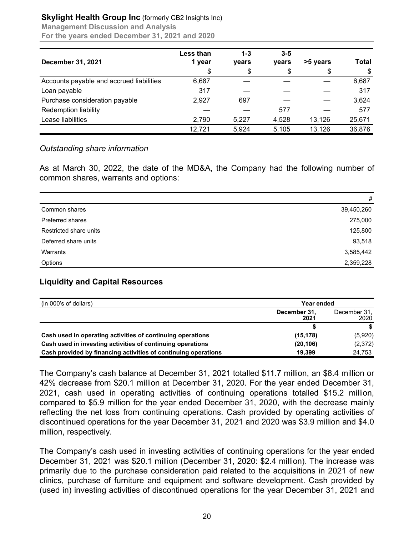# **Skylight Health Group Inc** (formerly CB2 Insights Inc)

**Management Discussion and Analysis For the years ended December 31, 2021 and 2020**

| <b>December 31, 2021</b>                 | Less than<br>1 year | $1 - 3$<br>years | $3 - 5$<br>vears | >5 years | <b>Total</b> |
|------------------------------------------|---------------------|------------------|------------------|----------|--------------|
|                                          | \$                  | \$               | \$               | \$       | S            |
| Accounts payable and accrued liabilities | 6,687               |                  |                  |          | 6,687        |
| Loan payable                             | 317                 |                  |                  |          | 317          |
| Purchase consideration payable           | 2,927               | 697              |                  |          | 3,624        |
| <b>Redemption liability</b>              |                     |                  | 577              |          | 577          |
| Lease liabilities                        | 2,790               | 5,227            | 4,528            | 13,126   | 25,671       |
|                                          | 12,721              | 5,924            | 5,105            | 13,126   | 36,876       |

# *Outstanding share information*

As at March 30, 2022, the date of the MD&A, the Company had the following number of common shares, warrants and options:

|                         | #          |
|-------------------------|------------|
| Common shares           | 39,450,260 |
| <b>Preferred shares</b> | 275,000    |
| Restricted share units  | 125,800    |
| Deferred share units    | 93,518     |
| Warrants                | 3,585,442  |
| Options                 | 2,359,228  |

# **Liquidity and Capital Resources**

| (in 000's of dollars)                                          | Year ended           |                      |
|----------------------------------------------------------------|----------------------|----------------------|
|                                                                | December 31.<br>2021 | December 31.<br>2020 |
|                                                                |                      |                      |
| Cash used in operating activities of continuing operations     | (15, 178)            | (5,920)              |
| Cash used in investing activities of continuing operations     | (20, 106)            | (2,372)              |
| Cash provided by financing activities of continuing operations | 19.399               | 24.753               |

The Company's cash balance at December 31, 2021 totalled \$11.7 million, an \$8.4 million or 42% decrease from \$20.1 million at December 31, 2020. For the year ended December 31, 2021, cash used in operating activities of continuing operations totalled \$15.2 million, compared to \$5.9 million for the year ended December 31, 2020, with the decrease mainly reflecting the net loss from continuing operations. Cash provided by operating activities of discontinued operations for the year December 31, 2021 and 2020 was \$3.9 million and \$4.0 million, respectively.

The Company's cash used in investing activities of continuing operations for the year ended December 31, 2021 was \$20.1 million (December 31, 2020: \$2.4 million). The increase was primarily due to the purchase consideration paid related to the acquisitions in 2021 of new clinics, purchase of furniture and equipment and software development. Cash provided by (used in) investing activities of discontinued operations for the year December 31, 2021 and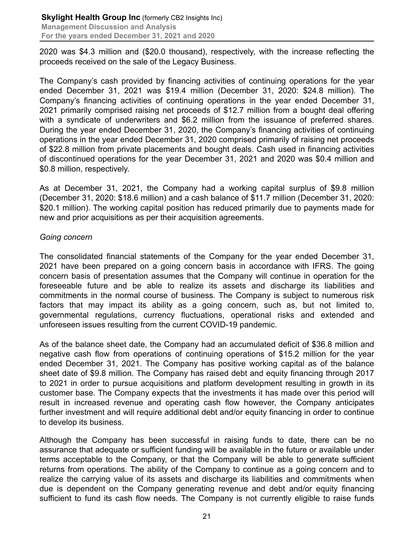2020 was \$4.3 million and (\$20.0 thousand), respectively, with the increase reflecting the proceeds received on the sale of the Legacy Business.

The Company's cash provided by financing activities of continuing operations for the year ended December 31, 2021 was \$19.4 million (December 31, 2020: \$24.8 million). The Company's financing activities of continuing operations in the year ended December 31, 2021 primarily comprised raising net proceeds of \$12.7 million from a bought deal offering with a syndicate of underwriters and \$6.2 million from the issuance of preferred shares. During the year ended December 31, 2020, the Company's financing activities of continuing operations in the year ended December 31, 2020 comprised primarily of raising net proceeds of \$22.8 million from private placements and bought deals. Cash used in financing activities of discontinued operations for the year December 31, 2021 and 2020 was \$0.4 million and \$0.8 million, respectively.

As at December 31, 2021, the Company had a working capital surplus of \$9.8 million (December 31, 2020: \$18.6 million) and a cash balance of \$11.7 million (December 31, 2020: \$20.1 million). The working capital position has reduced primarily due to payments made for new and prior acquisitions as per their acquisition agreements.

# *Going concern*

The consolidated financial statements of the Company for the year ended December 31, 2021 have been prepared on a going concern basis in accordance with IFRS. The going concern basis of presentation assumes that the Company will continue in operation for the foreseeable future and be able to realize its assets and discharge its liabilities and commitments in the normal course of business. The Company is subject to numerous risk factors that may impact its ability as a going concern, such as, but not limited to, governmental regulations, currency fluctuations, operational risks and extended and unforeseen issues resulting from the current COVID-19 pandemic.

As of the balance sheet date, the Company had an accumulated deficit of \$36.8 million and negative cash flow from operations of continuing operations of \$15.2 million for the year ended December 31, 2021. The Company has positive working capital as of the balance sheet date of \$9.8 million. The Company has raised debt and equity financing through 2017 to 2021 in order to pursue acquisitions and platform development resulting in growth in its customer base. The Company expects that the investments it has made over this period will result in increased revenue and operating cash flow however, the Company anticipates further investment and will require additional debt and/or equity financing in order to continue to develop its business.

Although the Company has been successful in raising funds to date, there can be no assurance that adequate or sufficient funding will be available in the future or available under terms acceptable to the Company, or that the Company will be able to generate sufficient returns from operations. The ability of the Company to continue as a going concern and to realize the carrying value of its assets and discharge its liabilities and commitments when due is dependent on the Company generating revenue and debt and/or equity financing sufficient to fund its cash flow needs. The Company is not currently eligible to raise funds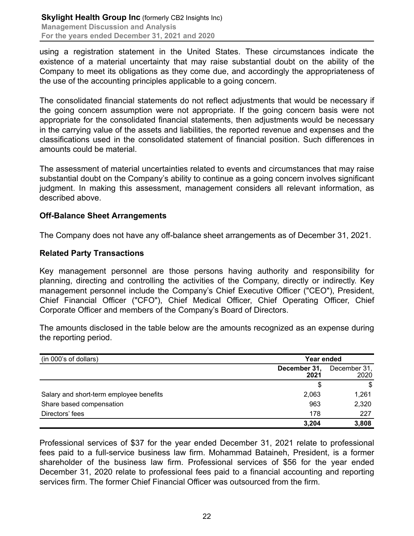using a registration statement in the United States. These circumstances indicate the existence of a material uncertainty that may raise substantial doubt on the ability of the Company to meet its obligations as they come due, and accordingly the appropriateness of the use of the accounting principles applicable to a going concern.

The consolidated financial statements do not reflect adjustments that would be necessary if the going concern assumption were not appropriate. If the going concern basis were not appropriate for the consolidated financial statements, then adjustments would be necessary in the carrying value of the assets and liabilities, the reported revenue and expenses and the classifications used in the consolidated statement of financial position. Such differences in amounts could be material.

The assessment of material uncertainties related to events and circumstances that may raise substantial doubt on the Company's ability to continue as a going concern involves significant judgment. In making this assessment, management considers all relevant information, as described above.

# **Off-Balance Sheet Arrangements**

The Company does not have any off-balance sheet arrangements as of December 31, 2021.

#### **Related Party Transactions**

Key management personnel are those persons having authority and responsibility for planning, directing and controlling the activities of the Company, directly or indirectly. Key management personnel include the Company's Chief Executive Officer ("CEO"), President, Chief Financial Officer ("CFO"), Chief Medical Officer, Chief Operating Officer, Chief Corporate Officer and members of the Company's Board of Directors.

The amounts disclosed in the table below are the amounts recognized as an expense during the reporting period.

| (in 000's of dollars)                   |                      | Year ended           |  |
|-----------------------------------------|----------------------|----------------------|--|
|                                         | December 31,<br>2021 | December 31,<br>2020 |  |
|                                         | \$                   | S                    |  |
| Salary and short-term employee benefits | 2,063                | 1,261                |  |
| Share based compensation                | 963                  | 2,320                |  |
| Directors' fees                         | 178                  | 227                  |  |
|                                         | 3,204                | 3,808                |  |

Professional services of \$37 for the year ended December 31, 2021 relate to professional fees paid to a full-service business law firm. Mohammad Bataineh, President, is a former shareholder of the business law firm. Professional services of \$56 for the year ended December 31, 2020 relate to professional fees paid to a financial accounting and reporting services firm. The former Chief Financial Officer was outsourced from the firm.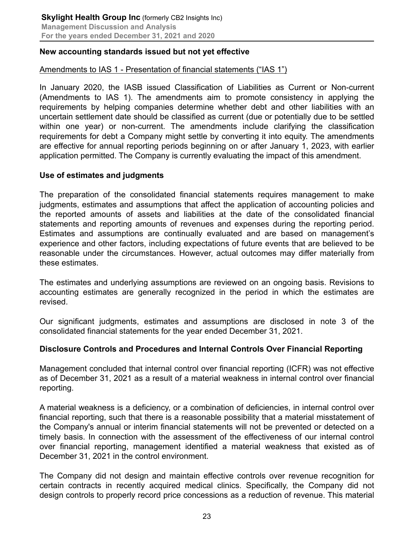# **New accounting standards issued but not yet effective**

# Amendments to IAS 1 - Presentation of financial statements ("IAS 1")

In January 2020, the IASB issued Classification of Liabilities as Current or Non-current (Amendments to IAS 1). The amendments aim to promote consistency in applying the requirements by helping companies determine whether debt and other liabilities with an uncertain settlement date should be classified as current (due or potentially due to be settled within one year) or non-current. The amendments include clarifying the classification requirements for debt a Company might settle by converting it into equity. The amendments are effective for annual reporting periods beginning on or after January 1, 2023, with earlier application permitted. The Company is currently evaluating the impact of this amendment.

# **Use of estimates and judgments**

The preparation of the consolidated financial statements requires management to make judgments, estimates and assumptions that affect the application of accounting policies and the reported amounts of assets and liabilities at the date of the consolidated financial statements and reporting amounts of revenues and expenses during the reporting period. Estimates and assumptions are continually evaluated and are based on management's experience and other factors, including expectations of future events that are believed to be reasonable under the circumstances. However, actual outcomes may differ materially from these estimates.

The estimates and underlying assumptions are reviewed on an ongoing basis. Revisions to accounting estimates are generally recognized in the period in which the estimates are revised.

Our significant judgments, estimates and assumptions are disclosed in note 3 of the consolidated financial statements for the year ended December 31, 2021.

# **Disclosure Controls and Procedures and Internal Controls Over Financial Reporting**

Management concluded that internal control over financial reporting (ICFR) was not effective as of December 31, 2021 as a result of a material weakness in internal control over financial reporting.

A material weakness is a deficiency, or a combination of deficiencies, in internal control over financial reporting, such that there is a reasonable possibility that a material misstatement of the Company's annual or interim financial statements will not be prevented or detected on a timely basis. In connection with the assessment of the effectiveness of our internal control over financial reporting, management identified a material weakness that existed as of December 31, 2021 in the control environment.

The Company did not design and maintain effective controls over revenue recognition for certain contracts in recently acquired medical clinics. Specifically, the Company did not design controls to properly record price concessions as a reduction of revenue. This material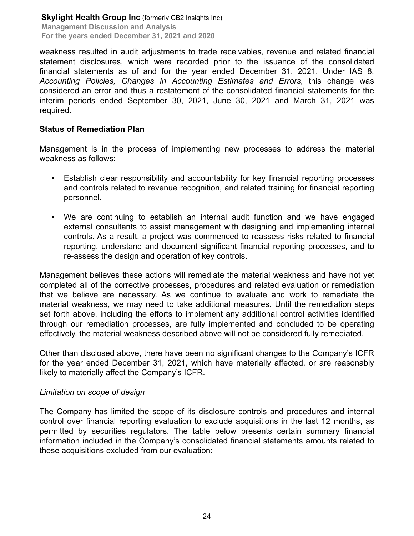weakness resulted in audit adjustments to trade receivables, revenue and related financial statement disclosures, which were recorded prior to the issuance of the consolidated financial statements as of and for the year ended December 31, 2021. Under IAS 8, *Accounting Policies, Changes in Accounting Estimates and Errors*, this change was considered an error and thus a restatement of the consolidated financial statements for the interim periods ended September 30, 2021, June 30, 2021 and March 31, 2021 was required.

# **Status of Remediation Plan**

Management is in the process of implementing new processes to address the material weakness as follows:

- Establish clear responsibility and accountability for key financial reporting processes and controls related to revenue recognition, and related training for financial reporting personnel.
- We are continuing to establish an internal audit function and we have engaged external consultants to assist management with designing and implementing internal controls. As a result, a project was commenced to reassess risks related to financial reporting, understand and document significant financial reporting processes, and to re-assess the design and operation of key controls.

Management believes these actions will remediate the material weakness and have not yet completed all of the corrective processes, procedures and related evaluation or remediation that we believe are necessary. As we continue to evaluate and work to remediate the material weakness, we may need to take additional measures. Until the remediation steps set forth above, including the efforts to implement any additional control activities identified through our remediation processes, are fully implemented and concluded to be operating effectively, the material weakness described above will not be considered fully remediated.

Other than disclosed above, there have been no significant changes to the Company's ICFR for the year ended December 31, 2021, which have materially affected, or are reasonably likely to materially affect the Company's ICFR.

# *Limitation on scope of design*

The Company has limited the scope of its disclosure controls and procedures and internal control over financial reporting evaluation to exclude acquisitions in the last 12 months, as permitted by securities regulators. The table below presents certain summary financial information included in the Company's consolidated financial statements amounts related to these acquisitions excluded from our evaluation: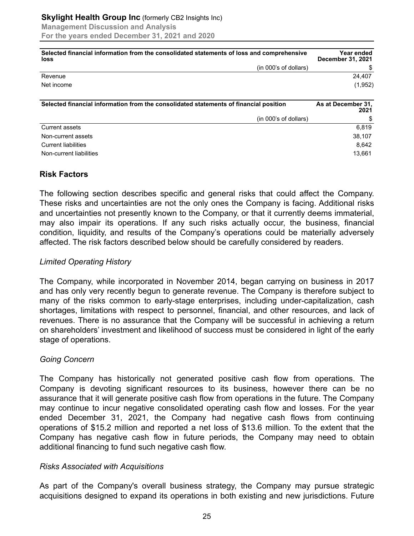| Selected financial information from the consolidated statements of loss and comprehensive<br>loss | <b>Year ended</b><br><b>December 31, 2021</b> |
|---------------------------------------------------------------------------------------------------|-----------------------------------------------|
| (in 000's of dollars)                                                                             |                                               |
| Revenue                                                                                           | 24.407                                        |
| Net income                                                                                        | (1,952)                                       |
| Selected financial information from the consolidated statements of financial position             | As at December 31,                            |

|                            | 2021   |
|----------------------------|--------|
| (in 000's of dollars)      | \$     |
| Current assets             | 6.819  |
| Non-current assets         | 38,107 |
| <b>Current liabilities</b> | 8.642  |
| Non-current liabilities    | 13,661 |

# **Risk Factors**

The following section describes specific and general risks that could affect the Company. These risks and uncertainties are not the only ones the Company is facing. Additional risks and uncertainties not presently known to the Company, or that it currently deems immaterial, may also impair its operations. If any such risks actually occur, the business, financial condition, liquidity, and results of the Company's operations could be materially adversely affected. The risk factors described below should be carefully considered by readers.

# *Limited Operating History*

The Company, while incorporated in November 2014, began carrying on business in 2017 and has only very recently begun to generate revenue. The Company is therefore subject to many of the risks common to early-stage enterprises, including under-capitalization, cash shortages, limitations with respect to personnel, financial, and other resources, and lack of revenues. There is no assurance that the Company will be successful in achieving a return on shareholders' investment and likelihood of success must be considered in light of the early stage of operations.

# *Going Concern*

The Company has historically not generated positive cash flow from operations. The Company is devoting significant resources to its business, however there can be no assurance that it will generate positive cash flow from operations in the future. The Company may continue to incur negative consolidated operating cash flow and losses. For the year ended December 31, 2021, the Company had negative cash flows from continuing operations of \$15.2 million and reported a net loss of \$13.6 million. To the extent that the Company has negative cash flow in future periods, the Company may need to obtain additional financing to fund such negative cash flow.

# *Risks Associated with Acquisitions*

As part of the Company's overall business strategy, the Company may pursue strategic acquisitions designed to expand its operations in both existing and new jurisdictions. Future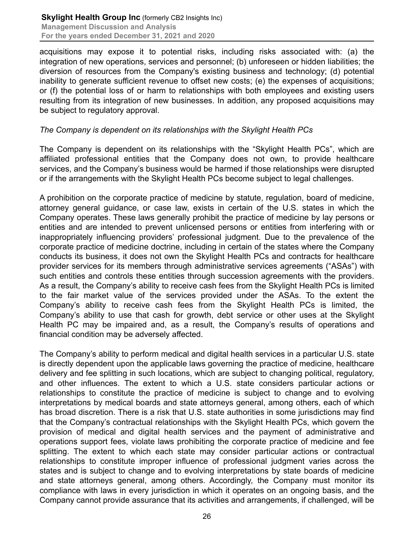acquisitions may expose it to potential risks, including risks associated with: (a) the integration of new operations, services and personnel; (b) unforeseen or hidden liabilities; the diversion of resources from the Company's existing business and technology; (d) potential inability to generate sufficient revenue to offset new costs; (e) the expenses of acquisitions; or (f) the potential loss of or harm to relationships with both employees and existing users resulting from its integration of new businesses. In addition, any proposed acquisitions may be subject to regulatory approval.

# *The Company is dependent on its relationships with the Skylight Health PCs*

The Company is dependent on its relationships with the "Skylight Health PCs", which are affiliated professional entities that the Company does not own, to provide healthcare services, and the Company's business would be harmed if those relationships were disrupted or if the arrangements with the Skylight Health PCs become subject to legal challenges.

A prohibition on the corporate practice of medicine by statute, regulation, board of medicine, attorney general guidance, or case law, exists in certain of the U.S. states in which the Company operates. These laws generally prohibit the practice of medicine by lay persons or entities and are intended to prevent unlicensed persons or entities from interfering with or inappropriately influencing providers' professional judgment. Due to the prevalence of the corporate practice of medicine doctrine, including in certain of the states where the Company conducts its business, it does not own the Skylight Health PCs and contracts for healthcare provider services for its members through administrative services agreements ("ASAs") with such entities and controls these entities through succession agreements with the providers. As a result, the Company's ability to receive cash fees from the Skylight Health PCs is limited to the fair market value of the services provided under the ASAs. To the extent the Company's ability to receive cash fees from the Skylight Health PCs is limited, the Company's ability to use that cash for growth, debt service or other uses at the Skylight Health PC may be impaired and, as a result, the Company's results of operations and financial condition may be adversely affected.

The Company's ability to perform medical and digital health services in a particular U.S. state is directly dependent upon the applicable laws governing the practice of medicine, healthcare delivery and fee splitting in such locations, which are subject to changing political, regulatory, and other influences. The extent to which a U.S. state considers particular actions or relationships to constitute the practice of medicine is subject to change and to evolving interpretations by medical boards and state attorneys general, among others, each of which has broad discretion. There is a risk that U.S. state authorities in some jurisdictions may find that the Company's contractual relationships with the Skylight Health PCs, which govern the provision of medical and digital health services and the payment of administrative and operations support fees, violate laws prohibiting the corporate practice of medicine and fee splitting. The extent to which each state may consider particular actions or contractual relationships to constitute improper influence of professional judgment varies across the states and is subject to change and to evolving interpretations by state boards of medicine and state attorneys general, among others. Accordingly, the Company must monitor its compliance with laws in every jurisdiction in which it operates on an ongoing basis, and the Company cannot provide assurance that its activities and arrangements, if challenged, will be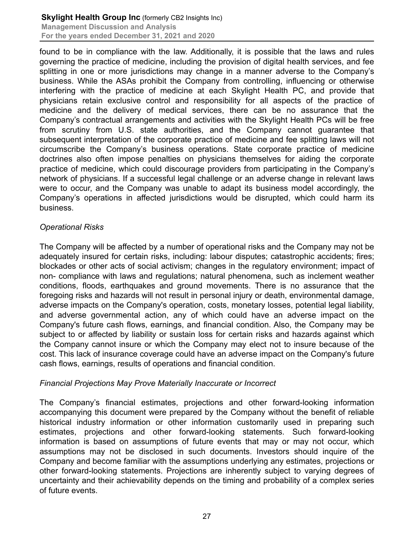found to be in compliance with the law. Additionally, it is possible that the laws and rules governing the practice of medicine, including the provision of digital health services, and fee splitting in one or more jurisdictions may change in a manner adverse to the Company's business. While the ASAs prohibit the Company from controlling, influencing or otherwise interfering with the practice of medicine at each Skylight Health PC, and provide that physicians retain exclusive control and responsibility for all aspects of the practice of medicine and the delivery of medical services, there can be no assurance that the Company's contractual arrangements and activities with the Skylight Health PCs will be free from scrutiny from U.S. state authorities, and the Company cannot guarantee that subsequent interpretation of the corporate practice of medicine and fee splitting laws will not circumscribe the Company's business operations. State corporate practice of medicine doctrines also often impose penalties on physicians themselves for aiding the corporate practice of medicine, which could discourage providers from participating in the Company's network of physicians. If a successful legal challenge or an adverse change in relevant laws were to occur, and the Company was unable to adapt its business model accordingly, the Company's operations in affected jurisdictions would be disrupted, which could harm its business.

# *Operational Risks*

The Company will be affected by a number of operational risks and the Company may not be adequately insured for certain risks, including: labour disputes; catastrophic accidents; fires; blockades or other acts of social activism; changes in the regulatory environment; impact of non- compliance with laws and regulations; natural phenomena, such as inclement weather conditions, floods, earthquakes and ground movements. There is no assurance that the foregoing risks and hazards will not result in personal injury or death, environmental damage, adverse impacts on the Company's operation, costs, monetary losses, potential legal liability, and adverse governmental action, any of which could have an adverse impact on the Company's future cash flows, earnings, and financial condition. Also, the Company may be subject to or affected by liability or sustain loss for certain risks and hazards against which the Company cannot insure or which the Company may elect not to insure because of the cost. This lack of insurance coverage could have an adverse impact on the Company's future cash flows, earnings, results of operations and financial condition.

# *Financial Projections May Prove Materially Inaccurate or Incorrect*

The Company's financial estimates, projections and other forward-looking information accompanying this document were prepared by the Company without the benefit of reliable historical industry information or other information customarily used in preparing such estimates, projections and other forward-looking statements. Such forward-looking information is based on assumptions of future events that may or may not occur, which assumptions may not be disclosed in such documents. Investors should inquire of the Company and become familiar with the assumptions underlying any estimates, projections or other forward-looking statements. Projections are inherently subject to varying degrees of uncertainty and their achievability depends on the timing and probability of a complex series of future events.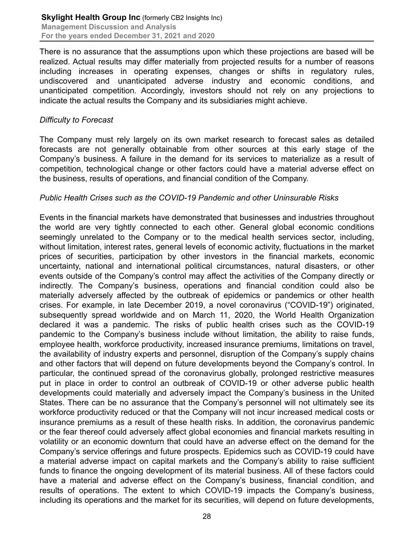There is no assurance that the assumptions upon which these projections are based will be realized. Actual results may differ materially from projected results for a number of reasons including increases in operating expenses, changes or shifts in regulatory rules, undiscovered and unanticipated adverse industry and economic conditions, and unanticipated competition. Accordingly, investors should not rely on any projections to indicate the actual results the Company and its subsidiaries might achieve.

#### *Difficulty to Forecast*

The Company must rely largely on its own market research to forecast sales as detailed forecasts are not generally obtainable from other sources at this early stage of the Company's business. A failure in the demand for its services to materialize as a result of competition, technological change or other factors could have a material adverse effect on the business, results of operations, and financial condition of the Company.

# *Public Health Crises such as the COVID-19 Pandemic and other Uninsurable Risks*

Events in the financial markets have demonstrated that businesses and industries throughout the world are very tightly connected to each other. General global economic conditions seemingly unrelated to the Company or to the medical health services sector, including, without limitation, interest rates, general levels of economic activity, fluctuations in the market prices of securities, participation by other investors in the financial markets, economic uncertainty, national and international political circumstances, natural disasters, or other events outside of the Company's control may affect the activities of the Company directly or indirectly. The Company's business, operations and financial condition could also be materially adversely affected by the outbreak of epidemics or pandemics or other health crises. For example, in late December 2019, a novel coronavirus ("COVID-19") originated, subsequently spread worldwide and on March 11, 2020, the World Health Organization declared it was a pandemic. The risks of public health crises such as the COVID-19 pandemic to the Company's business include without limitation, the ability to raise funds, employee health, workforce productivity, increased insurance premiums, limitations on travel, the availability of industry experts and personnel, disruption of the Company's supply chains and other factors that will depend on future developments beyond the Company's control. In particular, the continued spread of the coronavirus globally, prolonged restrictive measures put in place in order to control an outbreak of COVID-19 or other adverse public health developments could materially and adversely impact the Company's business in the United States. There can be no assurance that the Company's personnel will not ultimately see its workforce productivity reduced or that the Company will not incur increased medical costs or insurance premiums as a result of these health risks. In addition, the coronavirus pandemic or the fear thereof could adversely affect global economies and financial markets resulting in volatility or an economic downturn that could have an adverse effect on the demand for the Company's service offerings and future prospects. Epidemics such as COVID-19 could have a material adverse impact on capital markets and the Company's ability to raise sufficient funds to finance the ongoing development of its material business. All of these factors could have a material and adverse effect on the Company's business, financial condition, and results of operations. The extent to which COVID-19 impacts the Company's business, including its operations and the market for its securities, will depend on future developments,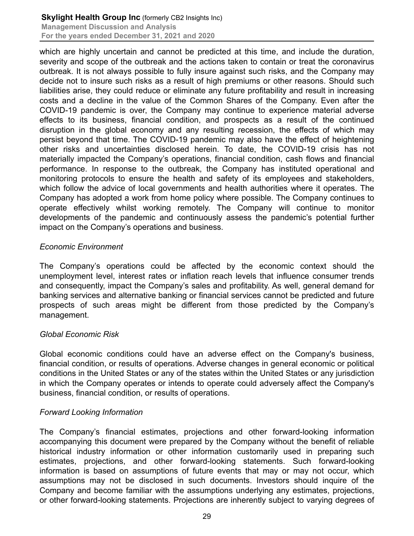which are highly uncertain and cannot be predicted at this time, and include the duration, severity and scope of the outbreak and the actions taken to contain or treat the coronavirus outbreak. It is not always possible to fully insure against such risks, and the Company may decide not to insure such risks as a result of high premiums or other reasons. Should such liabilities arise, they could reduce or eliminate any future profitability and result in increasing costs and a decline in the value of the Common Shares of the Company. Even after the COVID-19 pandemic is over, the Company may continue to experience material adverse effects to its business, financial condition, and prospects as a result of the continued disruption in the global economy and any resulting recession, the effects of which may persist beyond that time. The COVID-19 pandemic may also have the effect of heightening other risks and uncertainties disclosed herein. To date, the COVID-19 crisis has not materially impacted the Company's operations, financial condition, cash flows and financial performance. In response to the outbreak, the Company has instituted operational and monitoring protocols to ensure the health and safety of its employees and stakeholders, which follow the advice of local governments and health authorities where it operates. The Company has adopted a work from home policy where possible. The Company continues to operate effectively whilst working remotely. The Company will continue to monitor developments of the pandemic and continuously assess the pandemic's potential further impact on the Company's operations and business.

# *Economic Environment*

The Company's operations could be affected by the economic context should the unemployment level, interest rates or inflation reach levels that influence consumer trends and consequently, impact the Company's sales and profitability. As well, general demand for banking services and alternative banking or financial services cannot be predicted and future prospects of such areas might be different from those predicted by the Company's management.

# *Global Economic Risk*

Global economic conditions could have an adverse effect on the Company's business, financial condition, or results of operations. Adverse changes in general economic or political conditions in the United States or any of the states within the United States or any jurisdiction in which the Company operates or intends to operate could adversely affect the Company's business, financial condition, or results of operations.

# *Forward Looking Information*

The Company's financial estimates, projections and other forward-looking information accompanying this document were prepared by the Company without the benefit of reliable historical industry information or other information customarily used in preparing such estimates, projections, and other forward-looking statements. Such forward-looking information is based on assumptions of future events that may or may not occur, which assumptions may not be disclosed in such documents. Investors should inquire of the Company and become familiar with the assumptions underlying any estimates, projections, or other forward-looking statements. Projections are inherently subject to varying degrees of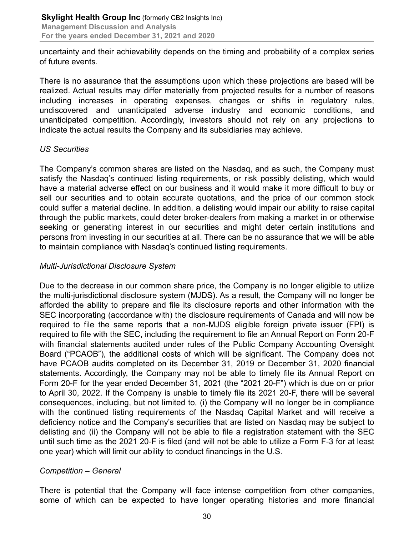uncertainty and their achievability depends on the timing and probability of a complex series of future events.

There is no assurance that the assumptions upon which these projections are based will be realized. Actual results may differ materially from projected results for a number of reasons including increases in operating expenses, changes or shifts in regulatory rules, undiscovered and unanticipated adverse industry and economic conditions, and unanticipated competition. Accordingly, investors should not rely on any projections to indicate the actual results the Company and its subsidiaries may achieve.

# *US Securities*

The Company's common shares are listed on the Nasdaq, and as such, the Company must satisfy the Nasdaq's continued listing requirements, or risk possibly delisting, which would have a material adverse effect on our business and it would make it more difficult to buy or sell our securities and to obtain accurate quotations, and the price of our common stock could suffer a material decline. In addition, a delisting would impair our ability to raise capital through the public markets, could deter broker-dealers from making a market in or otherwise seeking or generating interest in our securities and might deter certain institutions and persons from investing in our securities at all. There can be no assurance that we will be able to maintain compliance with Nasdaq's continued listing requirements.

# *Multi-Jurisdictional Disclosure System*

Due to the decrease in our common share price, the Company is no longer eligible to utilize the multi-jurisdictional disclosure system (MJDS). As a result, the Company will no longer be afforded the ability to prepare and file its disclosure reports and other information with the SEC incorporating (accordance with) the disclosure requirements of Canada and will now be required to file the same reports that a non-MJDS eligible foreign private issuer (FPI) is required to file with the SEC, including the requirement to file an Annual Report on Form 20-F with financial statements audited under rules of the Public Company Accounting Oversight Board ("PCAOB"), the additional costs of which will be significant. The Company does not have PCAOB audits completed on its December 31, 2019 or December 31, 2020 financial statements. Accordingly, the Company may not be able to timely file its Annual Report on Form 20-F for the year ended December 31, 2021 (the "2021 20-F") which is due on or prior to April 30, 2022. If the Company is unable to timely file its 2021 20-F, there will be several consequences, including, but not limited to, (i) the Company will no longer be in compliance with the continued listing requirements of the Nasdaq Capital Market and will receive a deficiency notice and the Company's securities that are listed on Nasdaq may be subject to delisting and (ii) the Company will not be able to file a registration statement with the SEC until such time as the 2021 20-F is filed (and will not be able to utilize a Form F-3 for at least one year) which will limit our ability to conduct financings in the U.S.

# *Competition – General*

There is potential that the Company will face intense competition from other companies, some of which can be expected to have longer operating histories and more financial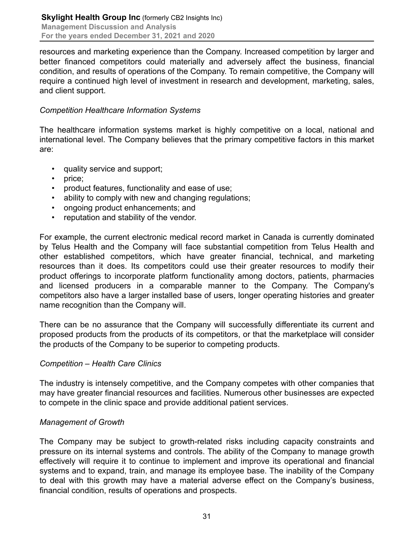resources and marketing experience than the Company. Increased competition by larger and better financed competitors could materially and adversely affect the business, financial condition, and results of operations of the Company. To remain competitive, the Company will require a continued high level of investment in research and development, marketing, sales, and client support.

# *Competition Healthcare Information Systems*

The healthcare information systems market is highly competitive on a local, national and international level. The Company believes that the primary competitive factors in this market are:

- quality service and support;
- price;
- product features, functionality and ease of use;
- ability to comply with new and changing regulations;
- ongoing product enhancements; and
- reputation and stability of the vendor.

For example, the current electronic medical record market in Canada is currently dominated by Telus Health and the Company will face substantial competition from Telus Health and other established competitors, which have greater financial, technical, and marketing resources than it does. Its competitors could use their greater resources to modify their product offerings to incorporate platform functionality among doctors, patients, pharmacies and licensed producers in a comparable manner to the Company. The Company's competitors also have a larger installed base of users, longer operating histories and greater name recognition than the Company will.

There can be no assurance that the Company will successfully differentiate its current and proposed products from the products of its competitors, or that the marketplace will consider the products of the Company to be superior to competing products.

# *Competition – Health Care Clinics*

The industry is intensely competitive, and the Company competes with other companies that may have greater financial resources and facilities. Numerous other businesses are expected to compete in the clinic space and provide additional patient services.

# *Management of Growth*

The Company may be subject to growth-related risks including capacity constraints and pressure on its internal systems and controls. The ability of the Company to manage growth effectively will require it to continue to implement and improve its operational and financial systems and to expand, train, and manage its employee base. The inability of the Company to deal with this growth may have a material adverse effect on the Company's business, financial condition, results of operations and prospects.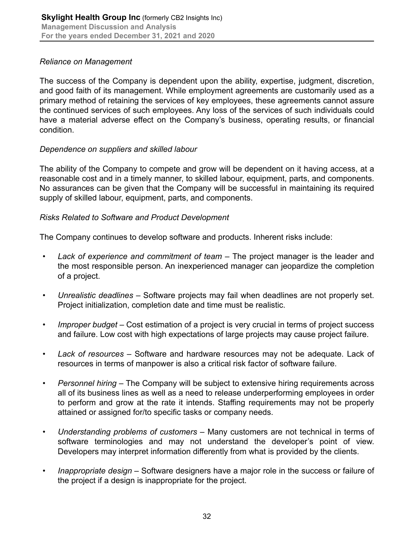# *Reliance on Management*

The success of the Company is dependent upon the ability, expertise, judgment, discretion, and good faith of its management. While employment agreements are customarily used as a primary method of retaining the services of key employees, these agreements cannot assure the continued services of such employees. Any loss of the services of such individuals could have a material adverse effect on the Company's business, operating results, or financial condition.

# *Dependence on suppliers and skilled labour*

The ability of the Company to compete and grow will be dependent on it having access, at a reasonable cost and in a timely manner, to skilled labour, equipment, parts, and components. No assurances can be given that the Company will be successful in maintaining its required supply of skilled labour, equipment, parts, and components.

# *Risks Related to Software and Product Development*

The Company continues to develop software and products. Inherent risks include:

- Lack of experience and commitment of team The project manager is the leader and the most responsible person. An inexperienced manager can jeopardize the completion of a project.
- *Unrealistic deadlines* Software projects may fail when deadlines are not properly set. Project initialization, completion date and time must be realistic.
- *Improper budget* Cost estimation of a project is very crucial in terms of project success and failure. Low cost with high expectations of large projects may cause project failure.
- *Lack of resources* Software and hardware resources may not be adequate. Lack of resources in terms of manpower is also a critical risk factor of software failure.
- *Personnel hiring* The Company will be subject to extensive hiring requirements across all of its business lines as well as a need to release underperforming employees in order to perform and grow at the rate it intends. Staffing requirements may not be properly attained or assigned for/to specific tasks or company needs.
- *Understanding problems of customers*  Many customers are not technical in terms of software terminologies and may not understand the developer's point of view. Developers may interpret information differently from what is provided by the clients.
- *Inappropriate design* Software designers have a major role in the success or failure of the project if a design is inappropriate for the project.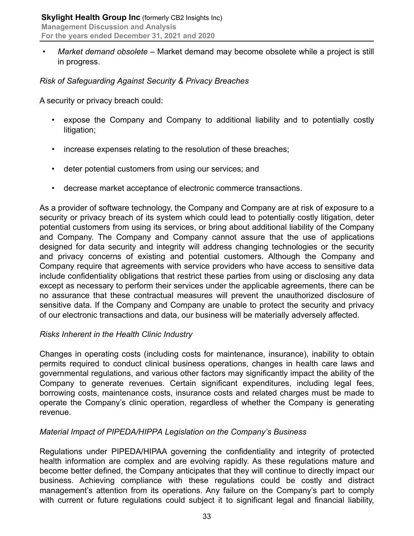• *Market demand obsolete –* Market demand may become obsolete while a project is still in progress.

# *Risk of Safeguarding Against Security & Privacy Breaches*

A security or privacy breach could:

- expose the Company and Company to additional liability and to potentially costly litigation;
- increase expenses relating to the resolution of these breaches;
- deter potential customers from using our services; and
- decrease market acceptance of electronic commerce transactions.

As a provider of software technology, the Company and Company are at risk of exposure to a security or privacy breach of its system which could lead to potentially costly litigation, deter potential customers from using its services, or bring about additional liability of the Company and Company. The Company and Company cannot assure that the use of applications designed for data security and integrity will address changing technologies or the security and privacy concerns of existing and potential customers. Although the Company and Company require that agreements with service providers who have access to sensitive data include confidentiality obligations that restrict these parties from using or disclosing any data except as necessary to perform their services under the applicable agreements, there can be no assurance that these contractual measures will prevent the unauthorized disclosure of sensitive data. If the Company and Company are unable to protect the security and privacy of our electronic transactions and data, our business will be materially adversely affected.

# *Risks Inherent in the Health Clinic Industry*

Changes in operating costs (including costs for maintenance, insurance), inability to obtain permits required to conduct clinical business operations, changes in health care laws and governmental regulations, and various other factors may significantly impact the ability of the Company to generate revenues. Certain significant expenditures, including legal fees, borrowing costs, maintenance costs, insurance costs and related charges must be made to operate the Company's clinic operation, regardless of whether the Company is generating revenue.

# *Material Impact of PIPEDA/HIPPA Legislation on the Company's Business*

Regulations under PIPEDA/HIPAA governing the confidentiality and integrity of protected health information are complex and are evolving rapidly. As these regulations mature and become better defined, the Company anticipates that they will continue to directly impact our business. Achieving compliance with these regulations could be costly and distract management's attention from its operations. Any failure on the Company's part to comply with current or future regulations could subject it to significant legal and financial liability,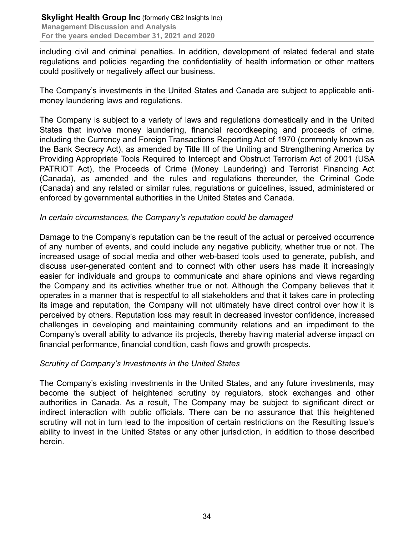including civil and criminal penalties. In addition, development of related federal and state regulations and policies regarding the confidentiality of health information or other matters could positively or negatively affect our business.

The Company's investments in the United States and Canada are subject to applicable antimoney laundering laws and regulations.

The Company is subject to a variety of laws and regulations domestically and in the United States that involve money laundering, financial recordkeeping and proceeds of crime, including the Currency and Foreign Transactions Reporting Act of 1970 (commonly known as the Bank Secrecy Act), as amended by Title III of the Uniting and Strengthening America by Providing Appropriate Tools Required to Intercept and Obstruct Terrorism Act of 2001 (USA PATRIOT Act), the Proceeds of Crime (Money Laundering) and Terrorist Financing Act (Canada), as amended and the rules and regulations thereunder, the Criminal Code (Canada) and any related or similar rules, regulations or guidelines, issued, administered or enforced by governmental authorities in the United States and Canada.

# *In certain circumstances, the Company's reputation could be damaged*

Damage to the Company's reputation can be the result of the actual or perceived occurrence of any number of events, and could include any negative publicity, whether true or not. The increased usage of social media and other web-based tools used to generate, publish, and discuss user-generated content and to connect with other users has made it increasingly easier for individuals and groups to communicate and share opinions and views regarding the Company and its activities whether true or not. Although the Company believes that it operates in a manner that is respectful to all stakeholders and that it takes care in protecting its image and reputation, the Company will not ultimately have direct control over how it is perceived by others. Reputation loss may result in decreased investor confidence, increased challenges in developing and maintaining community relations and an impediment to the Company's overall ability to advance its projects, thereby having material adverse impact on financial performance, financial condition, cash flows and growth prospects.

# *Scrutiny of Company's Investments in the United States*

The Company's existing investments in the United States, and any future investments, may become the subject of heightened scrutiny by regulators, stock exchanges and other authorities in Canada. As a result, The Company may be subject to significant direct or indirect interaction with public officials. There can be no assurance that this heightened scrutiny will not in turn lead to the imposition of certain restrictions on the Resulting Issue's ability to invest in the United States or any other jurisdiction, in addition to those described herein.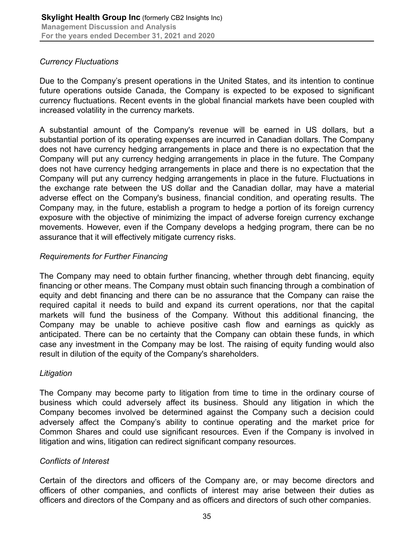# *Currency Fluctuations*

Due to the Company's present operations in the United States, and its intention to continue future operations outside Canada, the Company is expected to be exposed to significant currency fluctuations. Recent events in the global financial markets have been coupled with increased volatility in the currency markets.

A substantial amount of the Company's revenue will be earned in US dollars, but a substantial portion of its operating expenses are incurred in Canadian dollars. The Company does not have currency hedging arrangements in place and there is no expectation that the Company will put any currency hedging arrangements in place in the future. The Company does not have currency hedging arrangements in place and there is no expectation that the Company will put any currency hedging arrangements in place in the future. Fluctuations in the exchange rate between the US dollar and the Canadian dollar, may have a material adverse effect on the Company's business, financial condition, and operating results. The Company may, in the future, establish a program to hedge a portion of its foreign currency exposure with the objective of minimizing the impact of adverse foreign currency exchange movements. However, even if the Company develops a hedging program, there can be no assurance that it will effectively mitigate currency risks.

# *Requirements for Further Financing*

The Company may need to obtain further financing, whether through debt financing, equity financing or other means. The Company must obtain such financing through a combination of equity and debt financing and there can be no assurance that the Company can raise the required capital it needs to build and expand its current operations, nor that the capital markets will fund the business of the Company. Without this additional financing, the Company may be unable to achieve positive cash flow and earnings as quickly as anticipated. There can be no certainty that the Company can obtain these funds, in which case any investment in the Company may be lost. The raising of equity funding would also result in dilution of the equity of the Company's shareholders.

# *Litigation*

The Company may become party to litigation from time to time in the ordinary course of business which could adversely affect its business. Should any litigation in which the Company becomes involved be determined against the Company such a decision could adversely affect the Company's ability to continue operating and the market price for Common Shares and could use significant resources. Even if the Company is involved in litigation and wins, litigation can redirect significant company resources.

# *Conflicts of Interest*

Certain of the directors and officers of the Company are, or may become directors and officers of other companies, and conflicts of interest may arise between their duties as officers and directors of the Company and as officers and directors of such other companies.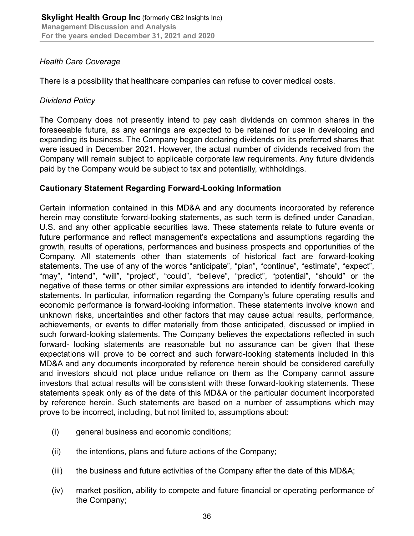# *Health Care Coverage*

There is a possibility that healthcare companies can refuse to cover medical costs.

# *Dividend Policy*

The Company does not presently intend to pay cash dividends on common shares in the foreseeable future, as any earnings are expected to be retained for use in developing and expanding its business. The Company began declaring dividends on its preferred shares that were issued in December 2021. However, the actual number of dividends received from the Company will remain subject to applicable corporate law requirements. Any future dividends paid by the Company would be subject to tax and potentially, withholdings.

# **Cautionary Statement Regarding Forward-Looking Information**

Certain information contained in this MD&A and any documents incorporated by reference herein may constitute forward-looking statements, as such term is defined under Canadian, U.S. and any other applicable securities laws. These statements relate to future events or future performance and reflect management's expectations and assumptions regarding the growth, results of operations, performances and business prospects and opportunities of the Company. All statements other than statements of historical fact are forward-looking statements. The use of any of the words "anticipate", "plan", "continue", "estimate", "expect", "may", "intend", "will", "project", "could", "believe", "predict", "potential", "should" or the negative of these terms or other similar expressions are intended to identify forward-looking statements. In particular, information regarding the Company's future operating results and economic performance is forward-looking information. These statements involve known and unknown risks, uncertainties and other factors that may cause actual results, performance, achievements, or events to differ materially from those anticipated, discussed or implied in such forward-looking statements. The Company believes the expectations reflected in such forward- looking statements are reasonable but no assurance can be given that these expectations will prove to be correct and such forward-looking statements included in this MD&A and any documents incorporated by reference herein should be considered carefully and investors should not place undue reliance on them as the Company cannot assure investors that actual results will be consistent with these forward-looking statements. These statements speak only as of the date of this MD&A or the particular document incorporated by reference herein. Such statements are based on a number of assumptions which may prove to be incorrect, including, but not limited to, assumptions about:

- (i) general business and economic conditions;
- (ii) the intentions, plans and future actions of the Company;
- (iii) the business and future activities of the Company after the date of this MD&A;
- (iv) market position, ability to compete and future financial or operating performance of the Company;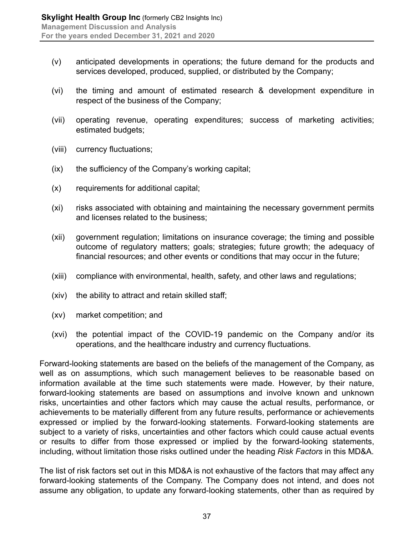- (v) anticipated developments in operations; the future demand for the products and services developed, produced, supplied, or distributed by the Company;
- (vi) the timing and amount of estimated research & development expenditure in respect of the business of the Company;
- (vii) operating revenue, operating expenditures; success of marketing activities; estimated budgets;
- (viii) currency fluctuations;
- (ix) the sufficiency of the Company's working capital;
- (x) requirements for additional capital;
- (xi) risks associated with obtaining and maintaining the necessary government permits and licenses related to the business;
- (xii) government regulation; limitations on insurance coverage; the timing and possible outcome of regulatory matters; goals; strategies; future growth; the adequacy of financial resources; and other events or conditions that may occur in the future;
- (xiii) compliance with environmental, health, safety, and other laws and regulations;
- (xiv) the ability to attract and retain skilled staff;
- (xv) market competition; and
- (xvi) the potential impact of the COVID-19 pandemic on the Company and/or its operations, and the healthcare industry and currency fluctuations.

Forward-looking statements are based on the beliefs of the management of the Company, as well as on assumptions, which such management believes to be reasonable based on information available at the time such statements were made. However, by their nature, forward-looking statements are based on assumptions and involve known and unknown risks, uncertainties and other factors which may cause the actual results, performance, or achievements to be materially different from any future results, performance or achievements expressed or implied by the forward-looking statements. Forward-looking statements are subject to a variety of risks, uncertainties and other factors which could cause actual events or results to differ from those expressed or implied by the forward-looking statements, including, without limitation those risks outlined under the heading *Risk Factors* in this MD&A.

The list of risk factors set out in this MD&A is not exhaustive of the factors that may affect any forward-looking statements of the Company. The Company does not intend, and does not assume any obligation, to update any forward-looking statements, other than as required by